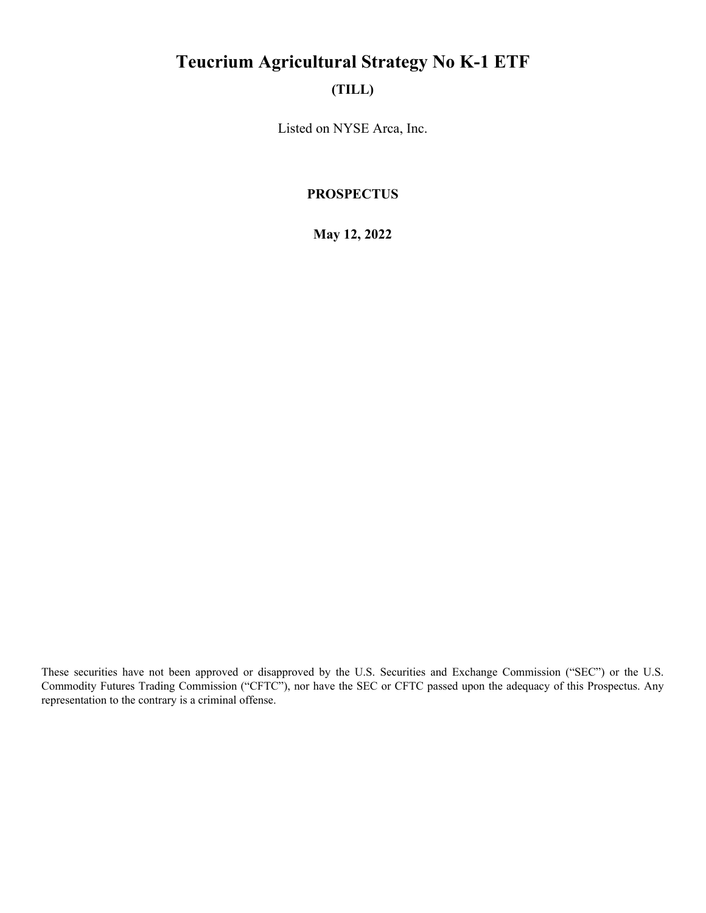# **Teucrium Agricultural Strategy No K-1 ETF**

# **(TILL)**

Listed on NYSE Arca, Inc.

### **PROSPECTUS**

**May 12, 2022**

These securities have not been approved or disapproved by the U.S. Securities and Exchange Commission ("SEC") or the U.S. Commodity Futures Trading Commission ("CFTC"), nor have the SEC or CFTC passed upon the adequacy of this Prospectus. Any representation to the contrary is a criminal offense.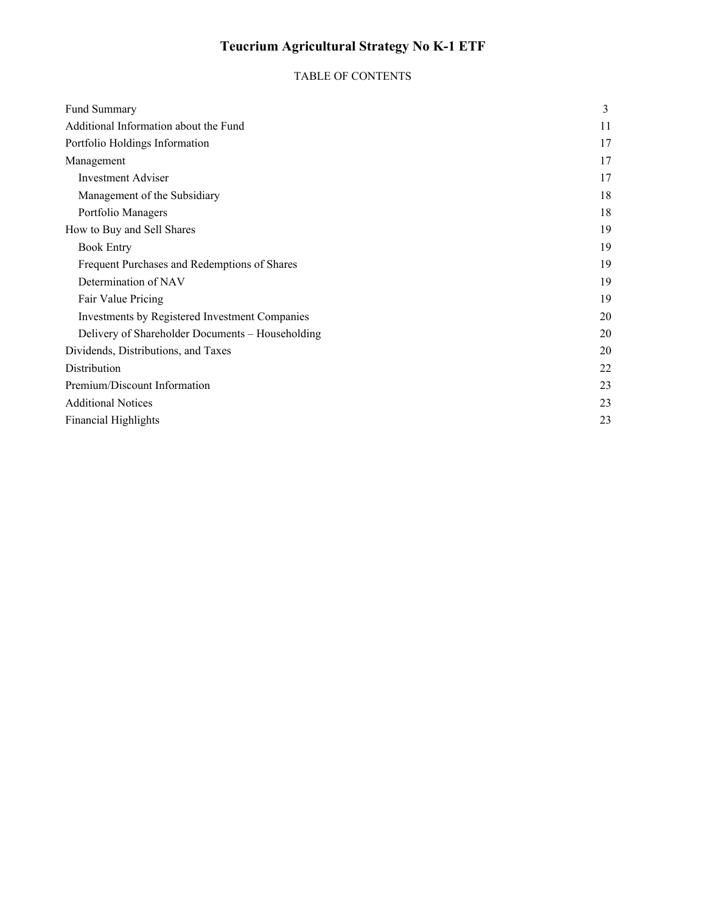# **Teucrium Agricultural Strategy No K-1 ETF**

## TABLE OF CONTENTS

| Fund Summary                                     | 3  |
|--------------------------------------------------|----|
| Additional Information about the Fund            | 11 |
| Portfolio Holdings Information                   | 17 |
| Management                                       | 17 |
| <b>Investment Adviser</b>                        | 17 |
| Management of the Subsidiary                     | 18 |
| Portfolio Managers                               | 18 |
| How to Buy and Sell Shares                       | 19 |
| <b>Book Entry</b>                                | 19 |
| Frequent Purchases and Redemptions of Shares     | 19 |
| Determination of NAV                             | 19 |
| Fair Value Pricing                               | 19 |
| Investments by Registered Investment Companies   | 20 |
| Delivery of Shareholder Documents - Householding | 20 |
| Dividends, Distributions, and Taxes              | 20 |
| Distribution                                     | 22 |
| Premium/Discount Information                     | 23 |
| <b>Additional Notices</b>                        | 23 |
| <b>Financial Highlights</b>                      |    |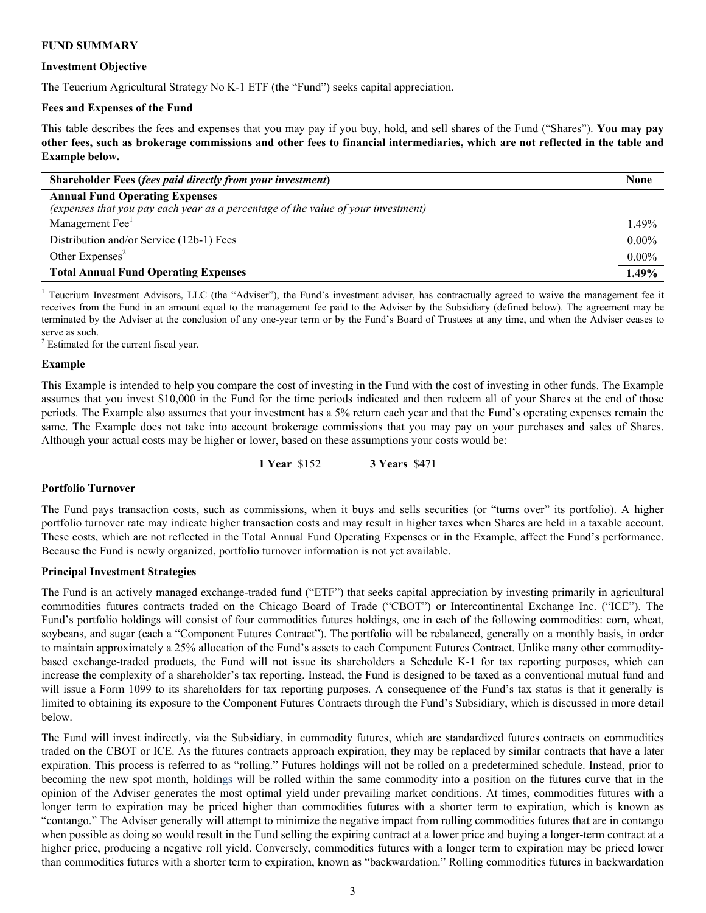#### **FUND SUMMARY**

#### **Investment Objective**

The Teucrium Agricultural Strategy No K-1 ETF (the "Fund") seeks capital appreciation.

#### **Fees and Expenses of the Fund**

This table describes the fees and expenses that you may pay if you buy, hold, and sell shares of the Fund ("Shares"). **You may pay other fees, such as brokerage commissions and other fees to financial intermediaries, which are not reflected in the table and Example below.**

| <b>Shareholder Fees (fees paid directly from your investment)</b>                 | None     |
|-----------------------------------------------------------------------------------|----------|
| <b>Annual Fund Operating Expenses</b>                                             |          |
| (expenses that you pay each year as a percentage of the value of your investment) |          |
| Management Fee <sup>1</sup>                                                       | $1.49\%$ |
| Distribution and/or Service (12b-1) Fees                                          | $0.00\%$ |
| Other Expenses <sup>2</sup>                                                       | $0.00\%$ |
| <b>Total Annual Fund Operating Expenses</b>                                       | 1.49%    |

<sup>1</sup> Teucrium Investment Advisors, LLC (the "Adviser"), the Fund's investment adviser, has contractually agreed to waive the management fee it receives from the Fund in an amount equal to the management fee paid to the Adviser by the Subsidiary (defined below). The agreement may be terminated by the Adviser at the conclusion of any one-year term or by the Fund's Board of Trustees at any time, and when the Adviser ceases to serve as such.

<sup>2</sup> Estimated for the current fiscal year.

#### **Example**

This Example is intended to help you compare the cost of investing in the Fund with the cost of investing in other funds. The Example assumes that you invest \$10,000 in the Fund for the time periods indicated and then redeem all of your Shares at the end of those periods. The Example also assumes that your investment has a 5% return each year and that the Fund's operating expenses remain the same. The Example does not take into account brokerage commissions that you may pay on your purchases and sales of Shares. Although your actual costs may be higher or lower, based on these assumptions your costs would be:

**1 Year** \$152 **3 Years** \$471

#### **Portfolio Turnover**

The Fund pays transaction costs, such as commissions, when it buys and sells securities (or "turns over" its portfolio). A higher portfolio turnover rate may indicate higher transaction costs and may result in higher taxes when Shares are held in a taxable account. These costs, which are not reflected in the Total Annual Fund Operating Expenses or in the Example, affect the Fund's performance. Because the Fund is newly organized, portfolio turnover information is not yet available.

#### **Principal Investment Strategies**

The Fund is an actively managed exchange-traded fund ("ETF") that seeks capital appreciation by investing primarily in agricultural commodities futures contracts traded on the Chicago Board of Trade ("CBOT") or Intercontinental Exchange Inc. ("ICE"). The Fund's portfolio holdings will consist of four commodities futures holdings, one in each of the following commodities: corn, wheat, soybeans, and sugar (each a "Component Futures Contract"). The portfolio will be rebalanced, generally on a monthly basis, in order to maintain approximately a 25% allocation of the Fund's assets to each Component Futures Contract. Unlike many other commoditybased exchange-traded products, the Fund will not issue its shareholders a Schedule K-1 for tax reporting purposes, which can increase the complexity of a shareholder's tax reporting. Instead, the Fund is designed to be taxed as a conventional mutual fund and will issue a Form 1099 to its shareholders for tax reporting purposes. A consequence of the Fund's tax status is that it generally is limited to obtaining its exposure to the Component Futures Contracts through the Fund's Subsidiary, which is discussed in more detail below.

The Fund will invest indirectly, via the Subsidiary, in commodity futures, which are standardized futures contracts on commodities traded on the CBOT or ICE. As the futures contracts approach expiration, they may be replaced by similar contracts that have a later expiration. This process is referred to as "rolling." Futures holdings will not be rolled on a predetermined schedule. Instead, prior to becoming the new spot month, holdings will be rolled within the same commodity into a position on the futures curve that in the opinion of the Adviser generates the most optimal yield under prevailing market conditions. At times, commodities futures with a longer term to expiration may be priced higher than commodities futures with a shorter term to expiration, which is known as "contango." The Adviser generally will attempt to minimize the negative impact from rolling commodities futures that are in contango when possible as doing so would result in the Fund selling the expiring contract at a lower price and buying a longer-term contract at a higher price, producing a negative roll yield. Conversely, commodities futures with a longer term to expiration may be priced lower than commodities futures with a shorter term to expiration, known as "backwardation." Rolling commodities futures in backwardation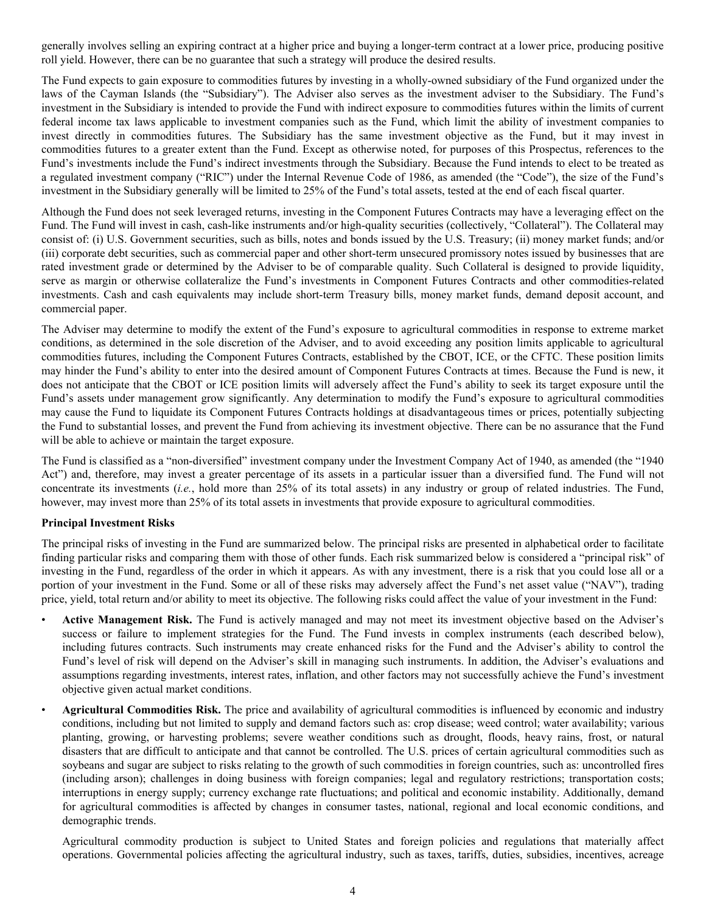generally involves selling an expiring contract at a higher price and buying a longer-term contract at a lower price, producing positive roll yield. However, there can be no guarantee that such a strategy will produce the desired results.

The Fund expects to gain exposure to commodities futures by investing in a wholly-owned subsidiary of the Fund organized under the laws of the Cayman Islands (the "Subsidiary"). The Adviser also serves as the investment adviser to the Subsidiary. The Fund's investment in the Subsidiary is intended to provide the Fund with indirect exposure to commodities futures within the limits of current federal income tax laws applicable to investment companies such as the Fund, which limit the ability of investment companies to invest directly in commodities futures. The Subsidiary has the same investment objective as the Fund, but it may invest in commodities futures to a greater extent than the Fund. Except as otherwise noted, for purposes of this Prospectus, references to the Fund's investments include the Fund's indirect investments through the Subsidiary. Because the Fund intends to elect to be treated as a regulated investment company ("RIC") under the Internal Revenue Code of 1986, as amended (the "Code"), the size of the Fund's investment in the Subsidiary generally will be limited to 25% of the Fund's total assets, tested at the end of each fiscal quarter.

Although the Fund does not seek leveraged returns, investing in the Component Futures Contracts may have a leveraging effect on the Fund. The Fund will invest in cash, cash-like instruments and/or high-quality securities (collectively, "Collateral"). The Collateral may consist of: (i) U.S. Government securities, such as bills, notes and bonds issued by the U.S. Treasury; (ii) money market funds; and/or (iii) corporate debt securities, such as commercial paper and other short-term unsecured promissory notes issued by businesses that are rated investment grade or determined by the Adviser to be of comparable quality. Such Collateral is designed to provide liquidity, serve as margin or otherwise collateralize the Fund's investments in Component Futures Contracts and other commodities-related investments. Cash and cash equivalents may include short-term Treasury bills, money market funds, demand deposit account, and commercial paper.

The Adviser may determine to modify the extent of the Fund's exposure to agricultural commodities in response to extreme market conditions, as determined in the sole discretion of the Adviser, and to avoid exceeding any position limits applicable to agricultural commodities futures, including the Component Futures Contracts, established by the CBOT, ICE, or the CFTC. These position limits may hinder the Fund's ability to enter into the desired amount of Component Futures Contracts at times. Because the Fund is new, it does not anticipate that the CBOT or ICE position limits will adversely affect the Fund's ability to seek its target exposure until the Fund's assets under management grow significantly. Any determination to modify the Fund's exposure to agricultural commodities may cause the Fund to liquidate its Component Futures Contracts holdings at disadvantageous times or prices, potentially subjecting the Fund to substantial losses, and prevent the Fund from achieving its investment objective. There can be no assurance that the Fund will be able to achieve or maintain the target exposure.

The Fund is classified as a "non-diversified" investment company under the Investment Company Act of 1940, as amended (the "1940 Act") and, therefore, may invest a greater percentage of its assets in a particular issuer than a diversified fund. The Fund will not concentrate its investments (*i.e.*, hold more than 25% of its total assets) in any industry or group of related industries. The Fund, however, may invest more than 25% of its total assets in investments that provide exposure to agricultural commodities.

#### **Principal Investment Risks**

The principal risks of investing in the Fund are summarized below. The principal risks are presented in alphabetical order to facilitate finding particular risks and comparing them with those of other funds. Each risk summarized below is considered a "principal risk" of investing in the Fund, regardless of the order in which it appears. As with any investment, there is a risk that you could lose all or a portion of your investment in the Fund. Some or all of these risks may adversely affect the Fund's net asset value ("NAV"), trading price, yield, total return and/or ability to meet its objective. The following risks could affect the value of your investment in the Fund:

- **Active Management Risk.** The Fund is actively managed and may not meet its investment objective based on the Adviser's success or failure to implement strategies for the Fund. The Fund invests in complex instruments (each described below), including futures contracts. Such instruments may create enhanced risks for the Fund and the Adviser's ability to control the Fund's level of risk will depend on the Adviser's skill in managing such instruments. In addition, the Adviser's evaluations and assumptions regarding investments, interest rates, inflation, and other factors may not successfully achieve the Fund's investment objective given actual market conditions.
- **Agricultural Commodities Risk.** The price and availability of agricultural commodities is influenced by economic and industry conditions, including but not limited to supply and demand factors such as: crop disease; weed control; water availability; various planting, growing, or harvesting problems; severe weather conditions such as drought, floods, heavy rains, frost, or natural disasters that are difficult to anticipate and that cannot be controlled. The U.S. prices of certain agricultural commodities such as soybeans and sugar are subject to risks relating to the growth of such commodities in foreign countries, such as: uncontrolled fires (including arson); challenges in doing business with foreign companies; legal and regulatory restrictions; transportation costs; interruptions in energy supply; currency exchange rate fluctuations; and political and economic instability. Additionally, demand for agricultural commodities is affected by changes in consumer tastes, national, regional and local economic conditions, and demographic trends.

Agricultural commodity production is subject to United States and foreign policies and regulations that materially affect operations. Governmental policies affecting the agricultural industry, such as taxes, tariffs, duties, subsidies, incentives, acreage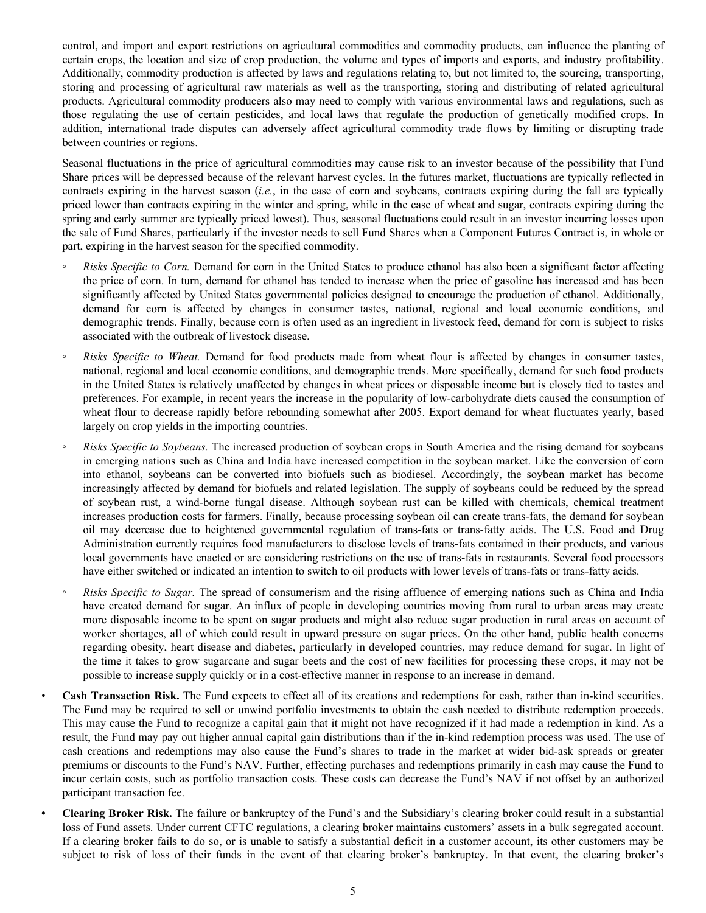control, and import and export restrictions on agricultural commodities and commodity products, can influence the planting of certain crops, the location and size of crop production, the volume and types of imports and exports, and industry profitability. Additionally, commodity production is affected by laws and regulations relating to, but not limited to, the sourcing, transporting, storing and processing of agricultural raw materials as well as the transporting, storing and distributing of related agricultural products. Agricultural commodity producers also may need to comply with various environmental laws and regulations, such as those regulating the use of certain pesticides, and local laws that regulate the production of genetically modified crops. In addition, international trade disputes can adversely affect agricultural commodity trade flows by limiting or disrupting trade between countries or regions.

Seasonal fluctuations in the price of agricultural commodities may cause risk to an investor because of the possibility that Fund Share prices will be depressed because of the relevant harvest cycles. In the futures market, fluctuations are typically reflected in contracts expiring in the harvest season (*i.e.*, in the case of corn and soybeans, contracts expiring during the fall are typically priced lower than contracts expiring in the winter and spring, while in the case of wheat and sugar, contracts expiring during the spring and early summer are typically priced lowest). Thus, seasonal fluctuations could result in an investor incurring losses upon the sale of Fund Shares, particularly if the investor needs to sell Fund Shares when a Component Futures Contract is, in whole or part, expiring in the harvest season for the specified commodity.

- *Risks Specific to Corn.* Demand for corn in the United States to produce ethanol has also been a significant factor affecting the price of corn. In turn, demand for ethanol has tended to increase when the price of gasoline has increased and has been significantly affected by United States governmental policies designed to encourage the production of ethanol. Additionally, demand for corn is affected by changes in consumer tastes, national, regional and local economic conditions, and demographic trends. Finally, because corn is often used as an ingredient in livestock feed, demand for corn is subject to risks associated with the outbreak of livestock disease.
- *Risks Specific to Wheat.* Demand for food products made from wheat flour is affected by changes in consumer tastes, national, regional and local economic conditions, and demographic trends. More specifically, demand for such food products in the United States is relatively unaffected by changes in wheat prices or disposable income but is closely tied to tastes and preferences. For example, in recent years the increase in the popularity of low-carbohydrate diets caused the consumption of wheat flour to decrease rapidly before rebounding somewhat after 2005. Export demand for wheat fluctuates yearly, based largely on crop yields in the importing countries.
- *Risks Specific to Soybeans.* The increased production of soybean crops in South America and the rising demand for soybeans in emerging nations such as China and India have increased competition in the soybean market. Like the conversion of corn into ethanol, soybeans can be converted into biofuels such as biodiesel. Accordingly, the soybean market has become increasingly affected by demand for biofuels and related legislation. The supply of soybeans could be reduced by the spread of soybean rust, a wind-borne fungal disease. Although soybean rust can be killed with chemicals, chemical treatment increases production costs for farmers. Finally, because processing soybean oil can create trans-fats, the demand for soybean oil may decrease due to heightened governmental regulation of trans-fats or trans-fatty acids. The U.S. Food and Drug Administration currently requires food manufacturers to disclose levels of trans-fats contained in their products, and various local governments have enacted or are considering restrictions on the use of trans-fats in restaurants. Several food processors have either switched or indicated an intention to switch to oil products with lower levels of trans-fats or trans-fatty acids.
- *Risks Specific to Sugar.* The spread of consumerism and the rising affluence of emerging nations such as China and India have created demand for sugar. An influx of people in developing countries moving from rural to urban areas may create more disposable income to be spent on sugar products and might also reduce sugar production in rural areas on account of worker shortages, all of which could result in upward pressure on sugar prices. On the other hand, public health concerns regarding obesity, heart disease and diabetes, particularly in developed countries, may reduce demand for sugar. In light of the time it takes to grow sugarcane and sugar beets and the cost of new facilities for processing these crops, it may not be possible to increase supply quickly or in a cost-effective manner in response to an increase in demand.

• **Cash Transaction Risk.** The Fund expects to effect all of its creations and redemptions for cash, rather than in-kind securities. The Fund may be required to sell or unwind portfolio investments to obtain the cash needed to distribute redemption proceeds. This may cause the Fund to recognize a capital gain that it might not have recognized if it had made a redemption in kind. As a result, the Fund may pay out higher annual capital gain distributions than if the in-kind redemption process was used. The use of cash creations and redemptions may also cause the Fund's shares to trade in the market at wider bid-ask spreads or greater premiums or discounts to the Fund's NAV. Further, effecting purchases and redemptions primarily in cash may cause the Fund to incur certain costs, such as portfolio transaction costs. These costs can decrease the Fund's NAV if not offset by an authorized participant transaction fee.

**• Clearing Broker Risk.** The failure or bankruptcy of the Fund's and the Subsidiary's clearing broker could result in a substantial loss of Fund assets. Under current CFTC regulations, a clearing broker maintains customers' assets in a bulk segregated account. If a clearing broker fails to do so, or is unable to satisfy a substantial deficit in a customer account, its other customers may be subject to risk of loss of their funds in the event of that clearing broker's bankruptcy. In that event, the clearing broker's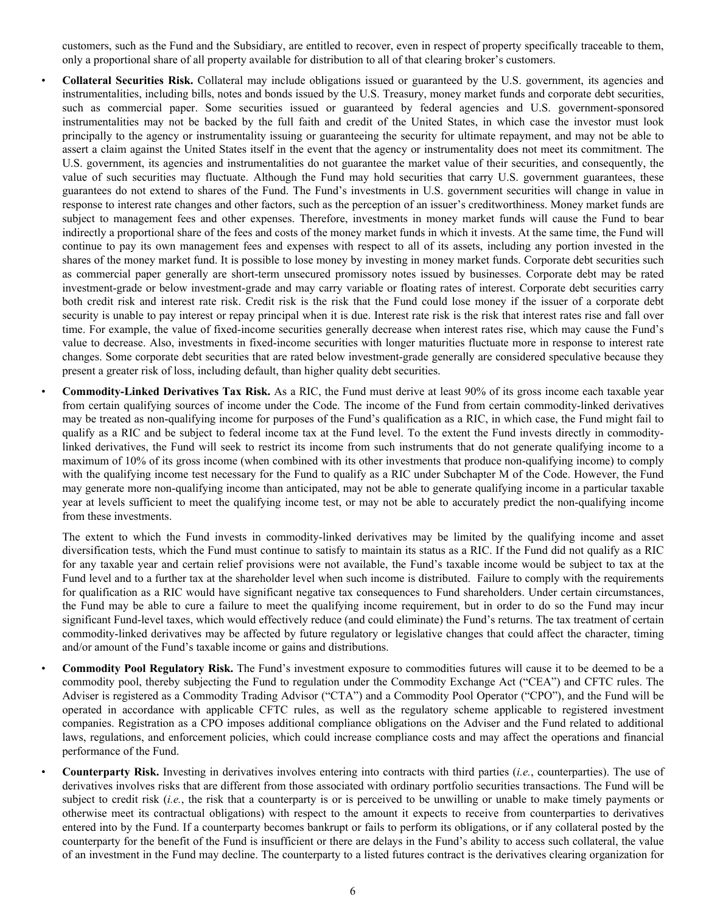customers, such as the Fund and the Subsidiary, are entitled to recover, even in respect of property specifically traceable to them, only a proportional share of all property available for distribution to all of that clearing broker's customers.

• **Collateral Securities Risk.** Collateral may include obligations issued or guaranteed by the U.S. government, its agencies and instrumentalities, including bills, notes and bonds issued by the U.S. Treasury, money market funds and corporate debt securities, such as commercial paper. Some securities issued or guaranteed by federal agencies and U.S. government-sponsored instrumentalities may not be backed by the full faith and credit of the United States, in which case the investor must look principally to the agency or instrumentality issuing or guaranteeing the security for ultimate repayment, and may not be able to assert a claim against the United States itself in the event that the agency or instrumentality does not meet its commitment. The U.S. government, its agencies and instrumentalities do not guarantee the market value of their securities, and consequently, the value of such securities may fluctuate. Although the Fund may hold securities that carry U.S. government guarantees, these guarantees do not extend to shares of the Fund. The Fund's investments in U.S. government securities will change in value in response to interest rate changes and other factors, such as the perception of an issuer's creditworthiness. Money market funds are subject to management fees and other expenses. Therefore, investments in money market funds will cause the Fund to bear indirectly a proportional share of the fees and costs of the money market funds in which it invests. At the same time, the Fund will continue to pay its own management fees and expenses with respect to all of its assets, including any portion invested in the shares of the money market fund. It is possible to lose money by investing in money market funds. Corporate debt securities such as commercial paper generally are short-term unsecured promissory notes issued by businesses. Corporate debt may be rated investment-grade or below investment-grade and may carry variable or floating rates of interest. Corporate debt securities carry both credit risk and interest rate risk. Credit risk is the risk that the Fund could lose money if the issuer of a corporate debt security is unable to pay interest or repay principal when it is due. Interest rate risk is the risk that interest rates rise and fall over time. For example, the value of fixed-income securities generally decrease when interest rates rise, which may cause the Fund's value to decrease. Also, investments in fixed-income securities with longer maturities fluctuate more in response to interest rate changes. Some corporate debt securities that are rated below investment-grade generally are considered speculative because they present a greater risk of loss, including default, than higher quality debt securities.

• **Commodity-Linked Derivatives Tax Risk.** As a RIC, the Fund must derive at least 90% of its gross income each taxable year from certain qualifying sources of income under the Code. The income of the Fund from certain commodity-linked derivatives may be treated as non-qualifying income for purposes of the Fund's qualification as a RIC, in which case, the Fund might fail to qualify as a RIC and be subject to federal income tax at the Fund level. To the extent the Fund invests directly in commoditylinked derivatives, the Fund will seek to restrict its income from such instruments that do not generate qualifying income to a maximum of 10% of its gross income (when combined with its other investments that produce non-qualifying income) to comply with the qualifying income test necessary for the Fund to qualify as a RIC under Subchapter M of the Code. However, the Fund may generate more non-qualifying income than anticipated, may not be able to generate qualifying income in a particular taxable year at levels sufficient to meet the qualifying income test, or may not be able to accurately predict the non-qualifying income from these investments.

The extent to which the Fund invests in commodity-linked derivatives may be limited by the qualifying income and asset diversification tests, which the Fund must continue to satisfy to maintain its status as a RIC. If the Fund did not qualify as a RIC for any taxable year and certain relief provisions were not available, the Fund's taxable income would be subject to tax at the Fund level and to a further tax at the shareholder level when such income is distributed. Failure to comply with the requirements for qualification as a RIC would have significant negative tax consequences to Fund shareholders. Under certain circumstances, the Fund may be able to cure a failure to meet the qualifying income requirement, but in order to do so the Fund may incur significant Fund-level taxes, which would effectively reduce (and could eliminate) the Fund's returns. The tax treatment of certain commodity-linked derivatives may be affected by future regulatory or legislative changes that could affect the character, timing and/or amount of the Fund's taxable income or gains and distributions.

• **Commodity Pool Regulatory Risk.** The Fund's investment exposure to commodities futures will cause it to be deemed to be a commodity pool, thereby subjecting the Fund to regulation under the Commodity Exchange Act ("CEA") and CFTC rules. The Adviser is registered as a Commodity Trading Advisor ("CTA") and a Commodity Pool Operator ("CPO"), and the Fund will be operated in accordance with applicable CFTC rules, as well as the regulatory scheme applicable to registered investment companies. Registration as a CPO imposes additional compliance obligations on the Adviser and the Fund related to additional laws, regulations, and enforcement policies, which could increase compliance costs and may affect the operations and financial performance of the Fund.

• **Counterparty Risk.** Investing in derivatives involves entering into contracts with third parties (*i.e.*, counterparties). The use of derivatives involves risks that are different from those associated with ordinary portfolio securities transactions. The Fund will be subject to credit risk (*i.e.*, the risk that a counterparty is or is perceived to be unwilling or unable to make timely payments or otherwise meet its contractual obligations) with respect to the amount it expects to receive from counterparties to derivatives entered into by the Fund. If a counterparty becomes bankrupt or fails to perform its obligations, or if any collateral posted by the counterparty for the benefit of the Fund is insufficient or there are delays in the Fund's ability to access such collateral, the value of an investment in the Fund may decline. The counterparty to a listed futures contract is the derivatives clearing organization for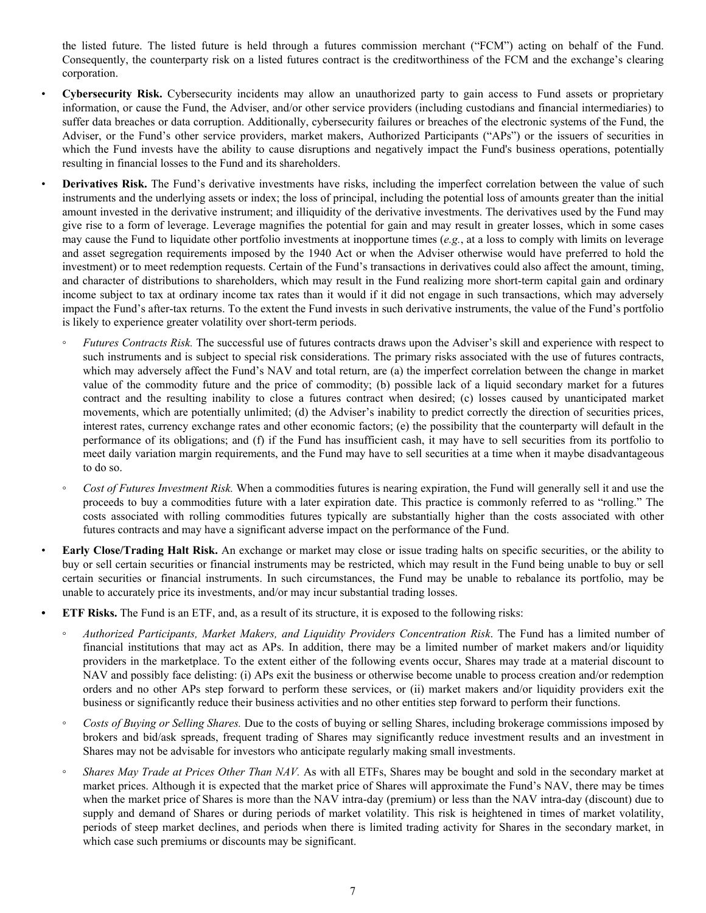the listed future. The listed future is held through a futures commission merchant ("FCM") acting on behalf of the Fund. Consequently, the counterparty risk on a listed futures contract is the creditworthiness of the FCM and the exchange's clearing corporation.

- **Cybersecurity Risk.** Cybersecurity incidents may allow an unauthorized party to gain access to Fund assets or proprietary information, or cause the Fund, the Adviser, and/or other service providers (including custodians and financial intermediaries) to suffer data breaches or data corruption. Additionally, cybersecurity failures or breaches of the electronic systems of the Fund, the Adviser, or the Fund's other service providers, market makers, Authorized Participants ("APs") or the issuers of securities in which the Fund invests have the ability to cause disruptions and negatively impact the Fund's business operations, potentially resulting in financial losses to the Fund and its shareholders.
- **Derivatives Risk.** The Fund's derivative investments have risks, including the imperfect correlation between the value of such instruments and the underlying assets or index; the loss of principal, including the potential loss of amounts greater than the initial amount invested in the derivative instrument; and illiquidity of the derivative investments. The derivatives used by the Fund may give rise to a form of leverage. Leverage magnifies the potential for gain and may result in greater losses, which in some cases may cause the Fund to liquidate other portfolio investments at inopportune times (*e.g.*, at a loss to comply with limits on leverage and asset segregation requirements imposed by the 1940 Act or when the Adviser otherwise would have preferred to hold the investment) or to meet redemption requests. Certain of the Fund's transactions in derivatives could also affect the amount, timing, and character of distributions to shareholders, which may result in the Fund realizing more short-term capital gain and ordinary income subject to tax at ordinary income tax rates than it would if it did not engage in such transactions, which may adversely impact the Fund's after-tax returns. To the extent the Fund invests in such derivative instruments, the value of the Fund's portfolio is likely to experience greater volatility over short-term periods.
- *Futures Contracts Risk.* The successful use of futures contracts draws upon the Adviser's skill and experience with respect to such instruments and is subject to special risk considerations. The primary risks associated with the use of futures contracts, which may adversely affect the Fund's NAV and total return, are (a) the imperfect correlation between the change in market value of the commodity future and the price of commodity; (b) possible lack of a liquid secondary market for a futures contract and the resulting inability to close a futures contract when desired; (c) losses caused by unanticipated market movements, which are potentially unlimited; (d) the Adviser's inability to predict correctly the direction of securities prices, interest rates, currency exchange rates and other economic factors; (e) the possibility that the counterparty will default in the performance of its obligations; and (f) if the Fund has insufficient cash, it may have to sell securities from its portfolio to meet daily variation margin requirements, and the Fund may have to sell securities at a time when it maybe disadvantageous to do so.
- *Cost of Futures Investment Risk.* When a commodities futures is nearing expiration, the Fund will generally sell it and use the proceeds to buy a commodities future with a later expiration date. This practice is commonly referred to as "rolling." The costs associated with rolling commodities futures typically are substantially higher than the costs associated with other futures contracts and may have a significant adverse impact on the performance of the Fund.
- **Early Close/Trading Halt Risk.** An exchange or market may close or issue trading halts on specific securities, or the ability to buy or sell certain securities or financial instruments may be restricted, which may result in the Fund being unable to buy or sell certain securities or financial instruments. In such circumstances, the Fund may be unable to rebalance its portfolio, may be unable to accurately price its investments, and/or may incur substantial trading losses.
- **• ETF Risks.** The Fund is an ETF, and, as a result of its structure, it is exposed to the following risks:
	- *◦ Authorized Participants, Market Makers, and Liquidity Providers Concentration Risk*. The Fund has a limited number of financial institutions that may act as APs. In addition, there may be a limited number of market makers and/or liquidity providers in the marketplace. To the extent either of the following events occur, Shares may trade at a material discount to NAV and possibly face delisting: (i) APs exit the business or otherwise become unable to process creation and/or redemption orders and no other APs step forward to perform these services, or (ii) market makers and/or liquidity providers exit the business or significantly reduce their business activities and no other entities step forward to perform their functions.
	- *◦ Costs of Buying or Selling Shares.* Due to the costs of buying or selling Shares, including brokerage commissions imposed by brokers and bid/ask spreads, frequent trading of Shares may significantly reduce investment results and an investment in Shares may not be advisable for investors who anticipate regularly making small investments.
	- *Shares May Trade at Prices Other Than NAV.* As with all ETFs, Shares may be bought and sold in the secondary market at market prices. Although it is expected that the market price of Shares will approximate the Fund's NAV, there may be times when the market price of Shares is more than the NAV intra-day (premium) or less than the NAV intra-day (discount) due to supply and demand of Shares or during periods of market volatility. This risk is heightened in times of market volatility, periods of steep market declines, and periods when there is limited trading activity for Shares in the secondary market, in which case such premiums or discounts may be significant.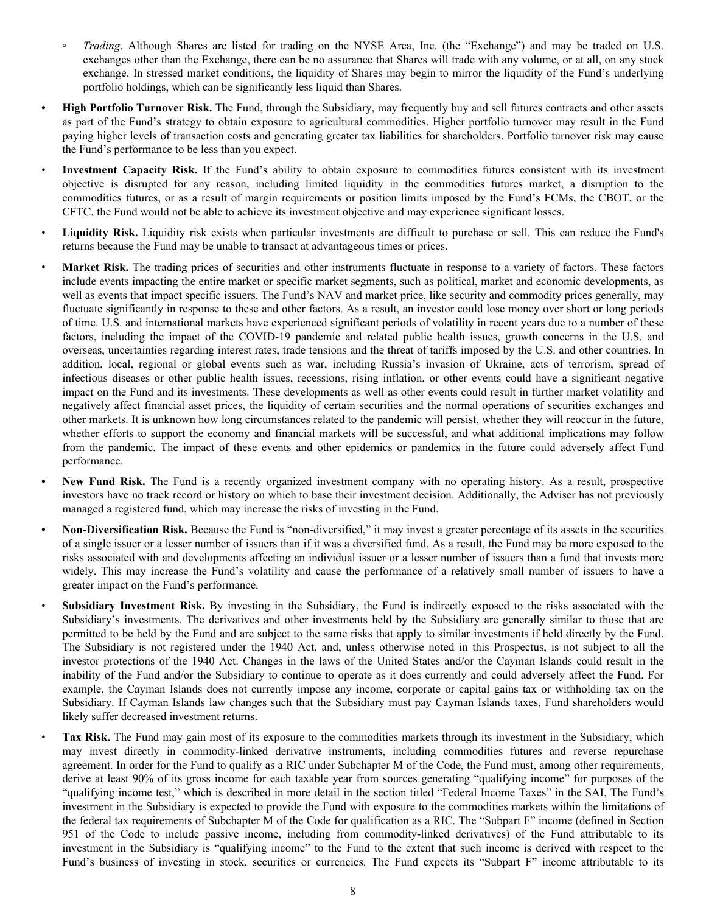- *Trading*. Although Shares are listed for trading on the NYSE Arca, Inc. (the "Exchange") and may be traded on U.S. exchanges other than the Exchange, there can be no assurance that Shares will trade with any volume, or at all, on any stock exchange. In stressed market conditions, the liquidity of Shares may begin to mirror the liquidity of the Fund's underlying portfolio holdings, which can be significantly less liquid than Shares.
- **• High Portfolio Turnover Risk.** The Fund, through the Subsidiary, may frequently buy and sell futures contracts and other assets as part of the Fund's strategy to obtain exposure to agricultural commodities. Higher portfolio turnover may result in the Fund paying higher levels of transaction costs and generating greater tax liabilities for shareholders. Portfolio turnover risk may cause the Fund's performance to be less than you expect.
- Investment Capacity Risk. If the Fund's ability to obtain exposure to commodities futures consistent with its investment objective is disrupted for any reason, including limited liquidity in the commodities futures market, a disruption to the commodities futures, or as a result of margin requirements or position limits imposed by the Fund's FCMs, the CBOT, or the CFTC, the Fund would not be able to achieve its investment objective and may experience significant losses.
- **Liquidity Risk.** Liquidity risk exists when particular investments are difficult to purchase or sell. This can reduce the Fund's returns because the Fund may be unable to transact at advantageous times or prices.
- **Market Risk.** The trading prices of securities and other instruments fluctuate in response to a variety of factors. These factors include events impacting the entire market or specific market segments, such as political, market and economic developments, as well as events that impact specific issuers. The Fund's NAV and market price, like security and commodity prices generally, may fluctuate significantly in response to these and other factors. As a result, an investor could lose money over short or long periods of time. U.S. and international markets have experienced significant periods of volatility in recent years due to a number of these factors, including the impact of the COVID-19 pandemic and related public health issues, growth concerns in the U.S. and overseas, uncertainties regarding interest rates, trade tensions and the threat of tariffs imposed by the U.S. and other countries. In addition, local, regional or global events such as war, including Russia's invasion of Ukraine, acts of terrorism, spread of infectious diseases or other public health issues, recessions, rising inflation, or other events could have a significant negative impact on the Fund and its investments. These developments as well as other events could result in further market volatility and negatively affect financial asset prices, the liquidity of certain securities and the normal operations of securities exchanges and other markets. It is unknown how long circumstances related to the pandemic will persist, whether they will reoccur in the future, whether efforts to support the economy and financial markets will be successful, and what additional implications may follow from the pandemic. The impact of these events and other epidemics or pandemics in the future could adversely affect Fund performance.
- **• New Fund Risk.** The Fund is a recently organized investment company with no operating history. As a result, prospective investors have no track record or history on which to base their investment decision. Additionally, the Adviser has not previously managed a registered fund, which may increase the risks of investing in the Fund.
- **• Non-Diversification Risk.** Because the Fund is "non-diversified," it may invest a greater percentage of its assets in the securities of a single issuer or a lesser number of issuers than if it was a diversified fund. As a result, the Fund may be more exposed to the risks associated with and developments affecting an individual issuer or a lesser number of issuers than a fund that invests more widely. This may increase the Fund's volatility and cause the performance of a relatively small number of issuers to have a greater impact on the Fund's performance.
- **Subsidiary Investment Risk.** By investing in the Subsidiary, the Fund is indirectly exposed to the risks associated with the Subsidiary's investments. The derivatives and other investments held by the Subsidiary are generally similar to those that are permitted to be held by the Fund and are subject to the same risks that apply to similar investments if held directly by the Fund. The Subsidiary is not registered under the 1940 Act, and, unless otherwise noted in this Prospectus, is not subject to all the investor protections of the 1940 Act. Changes in the laws of the United States and/or the Cayman Islands could result in the inability of the Fund and/or the Subsidiary to continue to operate as it does currently and could adversely affect the Fund. For example, the Cayman Islands does not currently impose any income, corporate or capital gains tax or withholding tax on the Subsidiary. If Cayman Islands law changes such that the Subsidiary must pay Cayman Islands taxes, Fund shareholders would likely suffer decreased investment returns.
- **Tax Risk.** The Fund may gain most of its exposure to the commodities markets through its investment in the Subsidiary, which may invest directly in commodity-linked derivative instruments, including commodities futures and reverse repurchase agreement. In order for the Fund to qualify as a RIC under Subchapter M of the Code, the Fund must, among other requirements, derive at least 90% of its gross income for each taxable year from sources generating "qualifying income" for purposes of the "qualifying income test," which is described in more detail in the section titled "Federal Income Taxes" in the SAI. The Fund's investment in the Subsidiary is expected to provide the Fund with exposure to the commodities markets within the limitations of the federal tax requirements of Subchapter M of the Code for qualification as a RIC. The "Subpart F" income (defined in Section 951 of the Code to include passive income, including from commodity-linked derivatives) of the Fund attributable to its investment in the Subsidiary is "qualifying income" to the Fund to the extent that such income is derived with respect to the Fund's business of investing in stock, securities or currencies. The Fund expects its "Subpart F" income attributable to its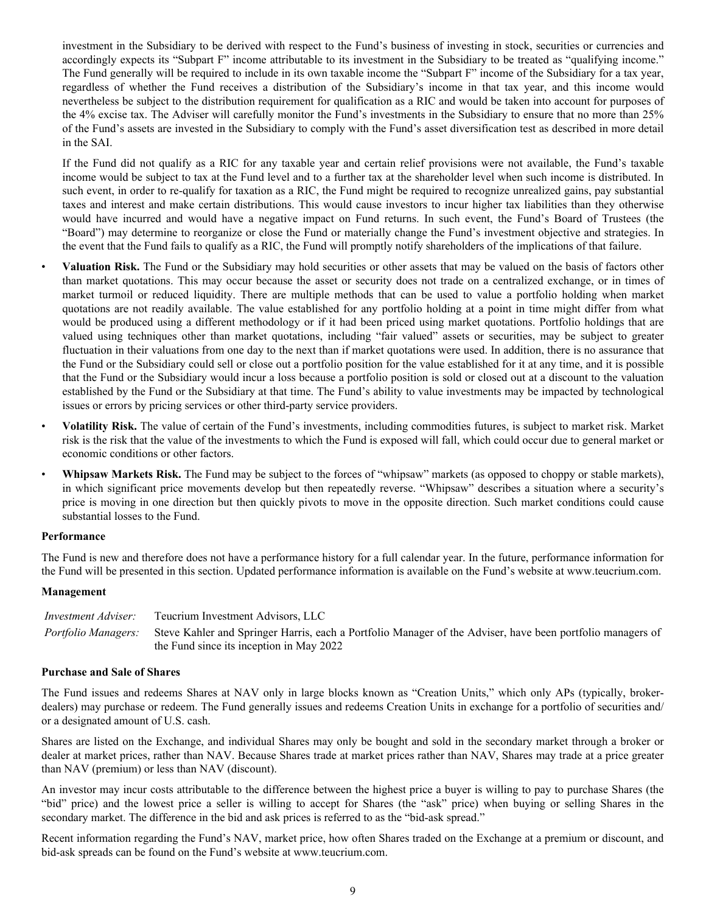investment in the Subsidiary to be derived with respect to the Fund's business of investing in stock, securities or currencies and accordingly expects its "Subpart F" income attributable to its investment in the Subsidiary to be treated as "qualifying income." The Fund generally will be required to include in its own taxable income the "Subpart F" income of the Subsidiary for a tax year, regardless of whether the Fund receives a distribution of the Subsidiary's income in that tax year, and this income would nevertheless be subject to the distribution requirement for qualification as a RIC and would be taken into account for purposes of the 4% excise tax. The Adviser will carefully monitor the Fund's investments in the Subsidiary to ensure that no more than 25% of the Fund's assets are invested in the Subsidiary to comply with the Fund's asset diversification test as described in more detail in the SAI.

If the Fund did not qualify as a RIC for any taxable year and certain relief provisions were not available, the Fund's taxable income would be subject to tax at the Fund level and to a further tax at the shareholder level when such income is distributed. In such event, in order to re-qualify for taxation as a RIC, the Fund might be required to recognize unrealized gains, pay substantial taxes and interest and make certain distributions. This would cause investors to incur higher tax liabilities than they otherwise would have incurred and would have a negative impact on Fund returns. In such event, the Fund's Board of Trustees (the "Board") may determine to reorganize or close the Fund or materially change the Fund's investment objective and strategies. In the event that the Fund fails to qualify as a RIC, the Fund will promptly notify shareholders of the implications of that failure.

- **Valuation Risk.** The Fund or the Subsidiary may hold securities or other assets that may be valued on the basis of factors other than market quotations. This may occur because the asset or security does not trade on a centralized exchange, or in times of market turmoil or reduced liquidity. There are multiple methods that can be used to value a portfolio holding when market quotations are not readily available. The value established for any portfolio holding at a point in time might differ from what would be produced using a different methodology or if it had been priced using market quotations. Portfolio holdings that are valued using techniques other than market quotations, including "fair valued" assets or securities, may be subject to greater fluctuation in their valuations from one day to the next than if market quotations were used. In addition, there is no assurance that the Fund or the Subsidiary could sell or close out a portfolio position for the value established for it at any time, and it is possible that the Fund or the Subsidiary would incur a loss because a portfolio position is sold or closed out at a discount to the valuation established by the Fund or the Subsidiary at that time. The Fund's ability to value investments may be impacted by technological issues or errors by pricing services or other third-party service providers.
- **Volatility Risk.** The value of certain of the Fund's investments, including commodities futures, is subject to market risk. Market risk is the risk that the value of the investments to which the Fund is exposed will fall, which could occur due to general market or economic conditions or other factors.
- **Whipsaw Markets Risk.** The Fund may be subject to the forces of "whipsaw" markets (as opposed to choppy or stable markets), in which significant price movements develop but then repeatedly reverse. "Whipsaw" describes a situation where a security's price is moving in one direction but then quickly pivots to move in the opposite direction. Such market conditions could cause substantial losses to the Fund.

#### **Performance**

The Fund is new and therefore does not have a performance history for a full calendar year. In the future, performance information for the Fund will be presented in this section. Updated performance information is available on the Fund's website at www.teucrium.com.

#### **Management**

| Investment Adviser: | Teucrium Investment Advisors, LLC                                                                                              |
|---------------------|--------------------------------------------------------------------------------------------------------------------------------|
|                     | Portfolio Managers: Steve Kahler and Springer Harris, each a Portfolio Manager of the Adviser, have been portfolio managers of |
|                     | the Fund since its inception in May 2022                                                                                       |

#### **Purchase and Sale of Shares**

The Fund issues and redeems Shares at NAV only in large blocks known as "Creation Units," which only APs (typically, brokerdealers) may purchase or redeem. The Fund generally issues and redeems Creation Units in exchange for a portfolio of securities and/ or a designated amount of U.S. cash.

Shares are listed on the Exchange, and individual Shares may only be bought and sold in the secondary market through a broker or dealer at market prices, rather than NAV. Because Shares trade at market prices rather than NAV, Shares may trade at a price greater than NAV (premium) or less than NAV (discount).

An investor may incur costs attributable to the difference between the highest price a buyer is willing to pay to purchase Shares (the "bid" price) and the lowest price a seller is willing to accept for Shares (the "ask" price) when buying or selling Shares in the secondary market. The difference in the bid and ask prices is referred to as the "bid-ask spread."

Recent information regarding the Fund's NAV, market price, how often Shares traded on the Exchange at a premium or discount, and bid-ask spreads can be found on the Fund's website at www.teucrium.com.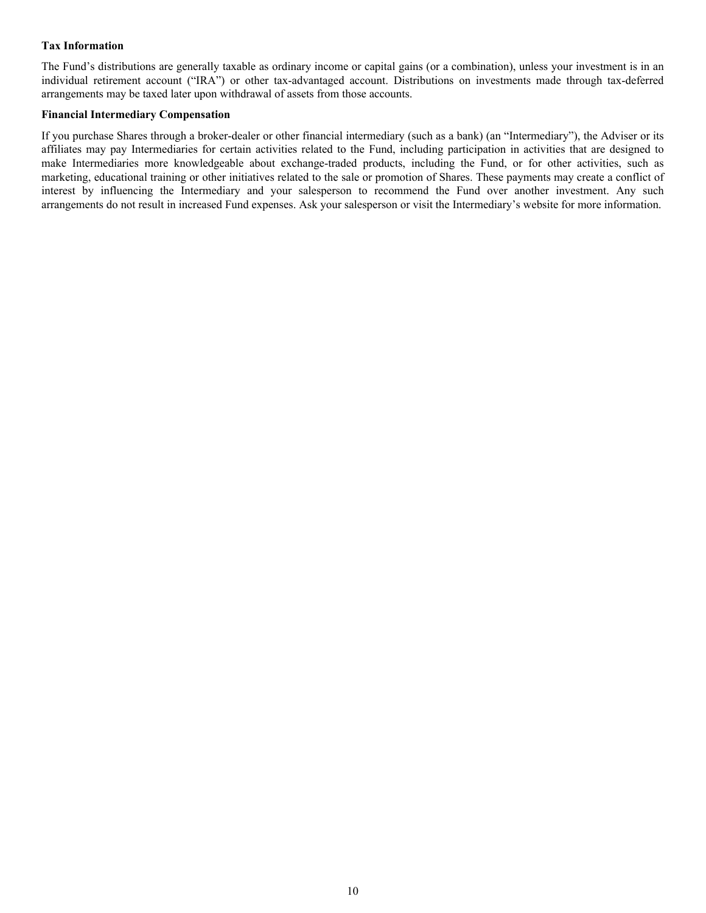#### **Tax Information**

The Fund's distributions are generally taxable as ordinary income or capital gains (or a combination), unless your investment is in an individual retirement account ("IRA") or other tax-advantaged account. Distributions on investments made through tax-deferred arrangements may be taxed later upon withdrawal of assets from those accounts.

#### **Financial Intermediary Compensation**

If you purchase Shares through a broker-dealer or other financial intermediary (such as a bank) (an "Intermediary"), the Adviser or its affiliates may pay Intermediaries for certain activities related to the Fund, including participation in activities that are designed to make Intermediaries more knowledgeable about exchange-traded products, including the Fund, or for other activities, such as marketing, educational training or other initiatives related to the sale or promotion of Shares. These payments may create a conflict of interest by influencing the Intermediary and your salesperson to recommend the Fund over another investment. Any such arrangements do not result in increased Fund expenses. Ask your salesperson or visit the Intermediary's website for more information.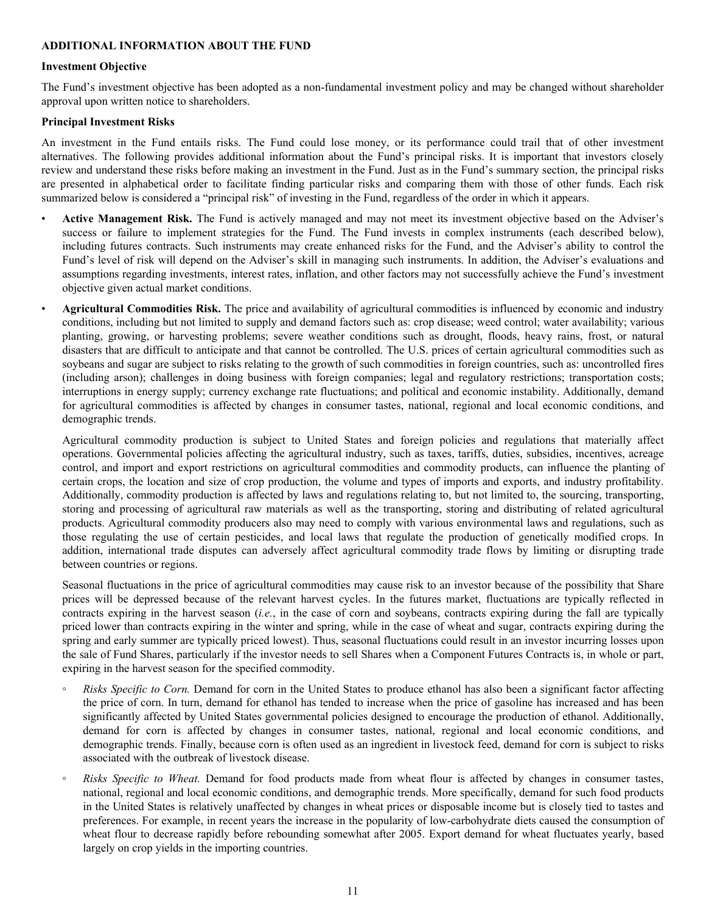#### **ADDITIONAL INFORMATION ABOUT THE FUND**

#### **Investment Objective**

The Fund's investment objective has been adopted as a non-fundamental investment policy and may be changed without shareholder approval upon written notice to shareholders.

#### **Principal Investment Risks**

An investment in the Fund entails risks. The Fund could lose money, or its performance could trail that of other investment alternatives. The following provides additional information about the Fund's principal risks. It is important that investors closely review and understand these risks before making an investment in the Fund. Just as in the Fund's summary section, the principal risks are presented in alphabetical order to facilitate finding particular risks and comparing them with those of other funds. Each risk summarized below is considered a "principal risk" of investing in the Fund, regardless of the order in which it appears.

- **Active Management Risk.** The Fund is actively managed and may not meet its investment objective based on the Adviser's success or failure to implement strategies for the Fund. The Fund invests in complex instruments (each described below), including futures contracts. Such instruments may create enhanced risks for the Fund, and the Adviser's ability to control the Fund's level of risk will depend on the Adviser's skill in managing such instruments. In addition, the Adviser's evaluations and assumptions regarding investments, interest rates, inflation, and other factors may not successfully achieve the Fund's investment objective given actual market conditions.
- **Agricultural Commodities Risk.** The price and availability of agricultural commodities is influenced by economic and industry conditions, including but not limited to supply and demand factors such as: crop disease; weed control; water availability; various planting, growing, or harvesting problems; severe weather conditions such as drought, floods, heavy rains, frost, or natural disasters that are difficult to anticipate and that cannot be controlled. The U.S. prices of certain agricultural commodities such as soybeans and sugar are subject to risks relating to the growth of such commodities in foreign countries, such as: uncontrolled fires (including arson); challenges in doing business with foreign companies; legal and regulatory restrictions; transportation costs; interruptions in energy supply; currency exchange rate fluctuations; and political and economic instability. Additionally, demand for agricultural commodities is affected by changes in consumer tastes, national, regional and local economic conditions, and demographic trends.

Agricultural commodity production is subject to United States and foreign policies and regulations that materially affect operations. Governmental policies affecting the agricultural industry, such as taxes, tariffs, duties, subsidies, incentives, acreage control, and import and export restrictions on agricultural commodities and commodity products, can influence the planting of certain crops, the location and size of crop production, the volume and types of imports and exports, and industry profitability. Additionally, commodity production is affected by laws and regulations relating to, but not limited to, the sourcing, transporting, storing and processing of agricultural raw materials as well as the transporting, storing and distributing of related agricultural products. Agricultural commodity producers also may need to comply with various environmental laws and regulations, such as those regulating the use of certain pesticides, and local laws that regulate the production of genetically modified crops. In addition, international trade disputes can adversely affect agricultural commodity trade flows by limiting or disrupting trade between countries or regions.

Seasonal fluctuations in the price of agricultural commodities may cause risk to an investor because of the possibility that Share prices will be depressed because of the relevant harvest cycles. In the futures market, fluctuations are typically reflected in contracts expiring in the harvest season (*i.e.*, in the case of corn and soybeans, contracts expiring during the fall are typically priced lower than contracts expiring in the winter and spring, while in the case of wheat and sugar, contracts expiring during the spring and early summer are typically priced lowest). Thus, seasonal fluctuations could result in an investor incurring losses upon the sale of Fund Shares, particularly if the investor needs to sell Shares when a Component Futures Contracts is, in whole or part, expiring in the harvest season for the specified commodity.

- *Risks Specific to Corn.* Demand for corn in the United States to produce ethanol has also been a significant factor affecting the price of corn. In turn, demand for ethanol has tended to increase when the price of gasoline has increased and has been significantly affected by United States governmental policies designed to encourage the production of ethanol. Additionally, demand for corn is affected by changes in consumer tastes, national, regional and local economic conditions, and demographic trends. Finally, because corn is often used as an ingredient in livestock feed, demand for corn is subject to risks associated with the outbreak of livestock disease.
- *Risks Specific to Wheat.* Demand for food products made from wheat flour is affected by changes in consumer tastes, national, regional and local economic conditions, and demographic trends. More specifically, demand for such food products in the United States is relatively unaffected by changes in wheat prices or disposable income but is closely tied to tastes and preferences. For example, in recent years the increase in the popularity of low-carbohydrate diets caused the consumption of wheat flour to decrease rapidly before rebounding somewhat after 2005. Export demand for wheat fluctuates yearly, based largely on crop yields in the importing countries.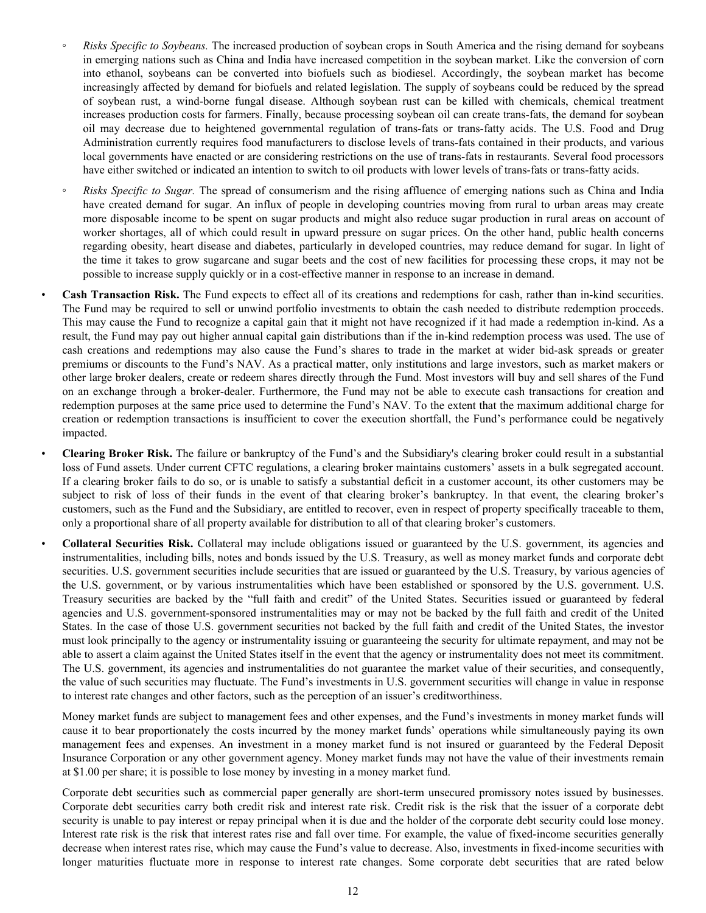- *Risks Specific to Soybeans.* The increased production of soybean crops in South America and the rising demand for soybeans in emerging nations such as China and India have increased competition in the soybean market. Like the conversion of corn into ethanol, soybeans can be converted into biofuels such as biodiesel. Accordingly, the soybean market has become increasingly affected by demand for biofuels and related legislation. The supply of soybeans could be reduced by the spread of soybean rust, a wind-borne fungal disease. Although soybean rust can be killed with chemicals, chemical treatment increases production costs for farmers. Finally, because processing soybean oil can create trans-fats, the demand for soybean oil may decrease due to heightened governmental regulation of trans-fats or trans-fatty acids. The U.S. Food and Drug Administration currently requires food manufacturers to disclose levels of trans-fats contained in their products, and various local governments have enacted or are considering restrictions on the use of trans-fats in restaurants. Several food processors have either switched or indicated an intention to switch to oil products with lower levels of trans-fats or trans-fatty acids.
- *Risks Specific to Sugar.* The spread of consumerism and the rising affluence of emerging nations such as China and India have created demand for sugar. An influx of people in developing countries moving from rural to urban areas may create more disposable income to be spent on sugar products and might also reduce sugar production in rural areas on account of worker shortages, all of which could result in upward pressure on sugar prices. On the other hand, public health concerns regarding obesity, heart disease and diabetes, particularly in developed countries, may reduce demand for sugar. In light of the time it takes to grow sugarcane and sugar beets and the cost of new facilities for processing these crops, it may not be possible to increase supply quickly or in a cost-effective manner in response to an increase in demand.

• **Cash Transaction Risk.** The Fund expects to effect all of its creations and redemptions for cash, rather than in-kind securities. The Fund may be required to sell or unwind portfolio investments to obtain the cash needed to distribute redemption proceeds. This may cause the Fund to recognize a capital gain that it might not have recognized if it had made a redemption in-kind. As a result, the Fund may pay out higher annual capital gain distributions than if the in-kind redemption process was used. The use of cash creations and redemptions may also cause the Fund's shares to trade in the market at wider bid-ask spreads or greater premiums or discounts to the Fund's NAV. As a practical matter, only institutions and large investors, such as market makers or other large broker dealers, create or redeem shares directly through the Fund. Most investors will buy and sell shares of the Fund on an exchange through a broker-dealer. Furthermore, the Fund may not be able to execute cash transactions for creation and redemption purposes at the same price used to determine the Fund's NAV. To the extent that the maximum additional charge for creation or redemption transactions is insufficient to cover the execution shortfall, the Fund's performance could be negatively impacted.

• **Clearing Broker Risk.** The failure or bankruptcy of the Fund's and the Subsidiary's clearing broker could result in a substantial loss of Fund assets. Under current CFTC regulations, a clearing broker maintains customers' assets in a bulk segregated account. If a clearing broker fails to do so, or is unable to satisfy a substantial deficit in a customer account, its other customers may be subject to risk of loss of their funds in the event of that clearing broker's bankruptcy. In that event, the clearing broker's customers, such as the Fund and the Subsidiary, are entitled to recover, even in respect of property specifically traceable to them, only a proportional share of all property available for distribution to all of that clearing broker's customers.

• **Collateral Securities Risk.** Collateral may include obligations issued or guaranteed by the U.S. government, its agencies and instrumentalities, including bills, notes and bonds issued by the U.S. Treasury, as well as money market funds and corporate debt securities. U.S. government securities include securities that are issued or guaranteed by the U.S. Treasury, by various agencies of the U.S. government, or by various instrumentalities which have been established or sponsored by the U.S. government. U.S. Treasury securities are backed by the "full faith and credit" of the United States. Securities issued or guaranteed by federal agencies and U.S. government-sponsored instrumentalities may or may not be backed by the full faith and credit of the United States. In the case of those U.S. government securities not backed by the full faith and credit of the United States, the investor must look principally to the agency or instrumentality issuing or guaranteeing the security for ultimate repayment, and may not be able to assert a claim against the United States itself in the event that the agency or instrumentality does not meet its commitment. The U.S. government, its agencies and instrumentalities do not guarantee the market value of their securities, and consequently, the value of such securities may fluctuate. The Fund's investments in U.S. government securities will change in value in response to interest rate changes and other factors, such as the perception of an issuer's creditworthiness.

Money market funds are subject to management fees and other expenses, and the Fund's investments in money market funds will cause it to bear proportionately the costs incurred by the money market funds' operations while simultaneously paying its own management fees and expenses. An investment in a money market fund is not insured or guaranteed by the Federal Deposit Insurance Corporation or any other government agency. Money market funds may not have the value of their investments remain at \$1.00 per share; it is possible to lose money by investing in a money market fund.

Corporate debt securities such as commercial paper generally are short-term unsecured promissory notes issued by businesses. Corporate debt securities carry both credit risk and interest rate risk. Credit risk is the risk that the issuer of a corporate debt security is unable to pay interest or repay principal when it is due and the holder of the corporate debt security could lose money. Interest rate risk is the risk that interest rates rise and fall over time. For example, the value of fixed-income securities generally decrease when interest rates rise, which may cause the Fund's value to decrease. Also, investments in fixed-income securities with longer maturities fluctuate more in response to interest rate changes. Some corporate debt securities that are rated below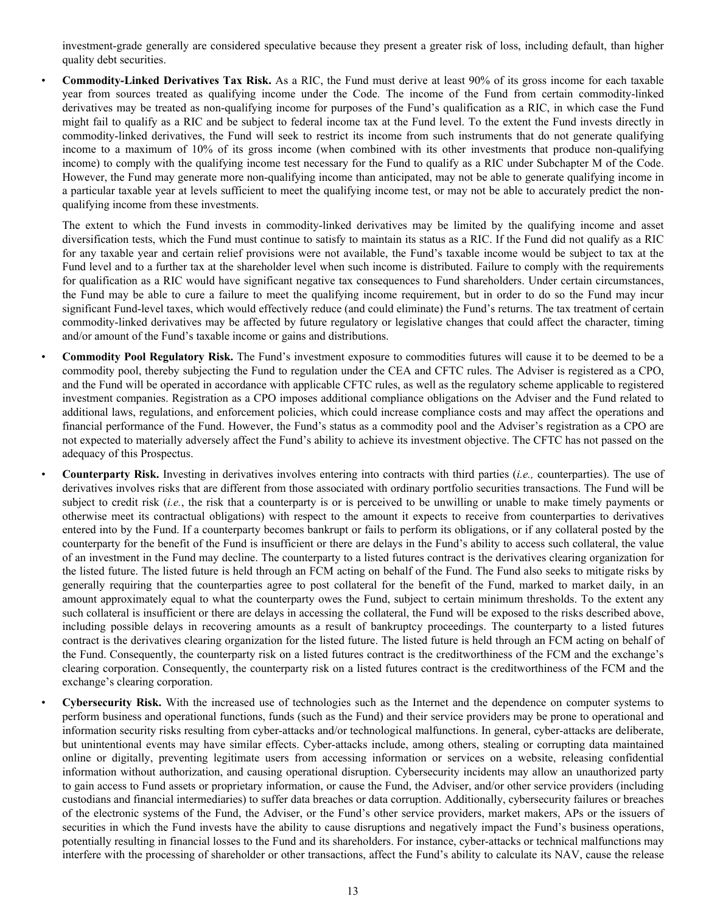investment-grade generally are considered speculative because they present a greater risk of loss, including default, than higher quality debt securities.

• **Commodity-Linked Derivatives Tax Risk.** As a RIC, the Fund must derive at least 90% of its gross income for each taxable year from sources treated as qualifying income under the Code. The income of the Fund from certain commodity-linked derivatives may be treated as non-qualifying income for purposes of the Fund's qualification as a RIC, in which case the Fund might fail to qualify as a RIC and be subject to federal income tax at the Fund level. To the extent the Fund invests directly in commodity-linked derivatives, the Fund will seek to restrict its income from such instruments that do not generate qualifying income to a maximum of 10% of its gross income (when combined with its other investments that produce non-qualifying income) to comply with the qualifying income test necessary for the Fund to qualify as a RIC under Subchapter M of the Code. However, the Fund may generate more non-qualifying income than anticipated, may not be able to generate qualifying income in a particular taxable year at levels sufficient to meet the qualifying income test, or may not be able to accurately predict the nonqualifying income from these investments.

The extent to which the Fund invests in commodity-linked derivatives may be limited by the qualifying income and asset diversification tests, which the Fund must continue to satisfy to maintain its status as a RIC. If the Fund did not qualify as a RIC for any taxable year and certain relief provisions were not available, the Fund's taxable income would be subject to tax at the Fund level and to a further tax at the shareholder level when such income is distributed. Failure to comply with the requirements for qualification as a RIC would have significant negative tax consequences to Fund shareholders. Under certain circumstances, the Fund may be able to cure a failure to meet the qualifying income requirement, but in order to do so the Fund may incur significant Fund-level taxes, which would effectively reduce (and could eliminate) the Fund's returns. The tax treatment of certain commodity-linked derivatives may be affected by future regulatory or legislative changes that could affect the character, timing and/or amount of the Fund's taxable income or gains and distributions.

- **Commodity Pool Regulatory Risk.** The Fund's investment exposure to commodities futures will cause it to be deemed to be a commodity pool, thereby subjecting the Fund to regulation under the CEA and CFTC rules. The Adviser is registered as a CPO, and the Fund will be operated in accordance with applicable CFTC rules, as well as the regulatory scheme applicable to registered investment companies. Registration as a CPO imposes additional compliance obligations on the Adviser and the Fund related to additional laws, regulations, and enforcement policies, which could increase compliance costs and may affect the operations and financial performance of the Fund. However, the Fund's status as a commodity pool and the Adviser's registration as a CPO are not expected to materially adversely affect the Fund's ability to achieve its investment objective. The CFTC has not passed on the adequacy of this Prospectus.
- **Counterparty Risk.** Investing in derivatives involves entering into contracts with third parties (*i.e.,* counterparties). The use of derivatives involves risks that are different from those associated with ordinary portfolio securities transactions. The Fund will be subject to credit risk (*i.e.*, the risk that a counterparty is or is perceived to be unwilling or unable to make timely payments or otherwise meet its contractual obligations) with respect to the amount it expects to receive from counterparties to derivatives entered into by the Fund. If a counterparty becomes bankrupt or fails to perform its obligations, or if any collateral posted by the counterparty for the benefit of the Fund is insufficient or there are delays in the Fund's ability to access such collateral, the value of an investment in the Fund may decline. The counterparty to a listed futures contract is the derivatives clearing organization for the listed future. The listed future is held through an FCM acting on behalf of the Fund. The Fund also seeks to mitigate risks by generally requiring that the counterparties agree to post collateral for the benefit of the Fund, marked to market daily, in an amount approximately equal to what the counterparty owes the Fund, subject to certain minimum thresholds. To the extent any such collateral is insufficient or there are delays in accessing the collateral, the Fund will be exposed to the risks described above, including possible delays in recovering amounts as a result of bankruptcy proceedings. The counterparty to a listed futures contract is the derivatives clearing organization for the listed future. The listed future is held through an FCM acting on behalf of the Fund. Consequently, the counterparty risk on a listed futures contract is the creditworthiness of the FCM and the exchange's clearing corporation. Consequently, the counterparty risk on a listed futures contract is the creditworthiness of the FCM and the exchange's clearing corporation.
- **Cybersecurity Risk.** With the increased use of technologies such as the Internet and the dependence on computer systems to perform business and operational functions, funds (such as the Fund) and their service providers may be prone to operational and information security risks resulting from cyber-attacks and/or technological malfunctions. In general, cyber-attacks are deliberate, but unintentional events may have similar effects. Cyber-attacks include, among others, stealing or corrupting data maintained online or digitally, preventing legitimate users from accessing information or services on a website, releasing confidential information without authorization, and causing operational disruption. Cybersecurity incidents may allow an unauthorized party to gain access to Fund assets or proprietary information, or cause the Fund, the Adviser, and/or other service providers (including custodians and financial intermediaries) to suffer data breaches or data corruption. Additionally, cybersecurity failures or breaches of the electronic systems of the Fund, the Adviser, or the Fund's other service providers, market makers, APs or the issuers of securities in which the Fund invests have the ability to cause disruptions and negatively impact the Fund's business operations, potentially resulting in financial losses to the Fund and its shareholders. For instance, cyber-attacks or technical malfunctions may interfere with the processing of shareholder or other transactions, affect the Fund's ability to calculate its NAV, cause the release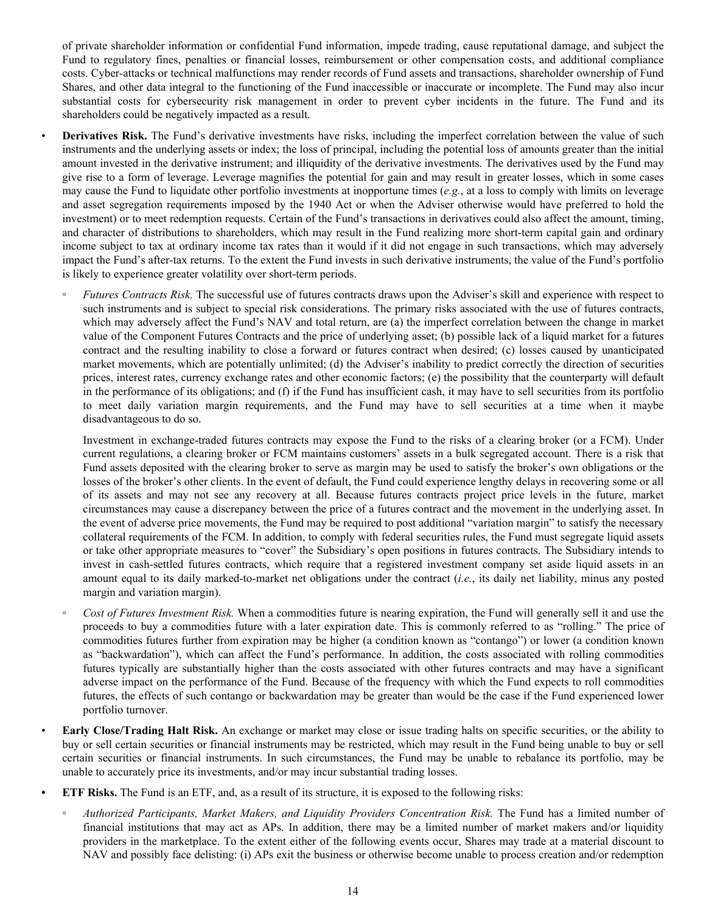of private shareholder information or confidential Fund information, impede trading, cause reputational damage, and subject the Fund to regulatory fines, penalties or financial losses, reimbursement or other compensation costs, and additional compliance costs. Cyber-attacks or technical malfunctions may render records of Fund assets and transactions, shareholder ownership of Fund Shares, and other data integral to the functioning of the Fund inaccessible or inaccurate or incomplete. The Fund may also incur substantial costs for cybersecurity risk management in order to prevent cyber incidents in the future. The Fund and its shareholders could be negatively impacted as a result.

**Derivatives Risk.** The Fund's derivative investments have risks, including the imperfect correlation between the value of such instruments and the underlying assets or index; the loss of principal, including the potential loss of amounts greater than the initial amount invested in the derivative instrument; and illiquidity of the derivative investments. The derivatives used by the Fund may give rise to a form of leverage. Leverage magnifies the potential for gain and may result in greater losses, which in some cases may cause the Fund to liquidate other portfolio investments at inopportune times (*e.g.*, at a loss to comply with limits on leverage and asset segregation requirements imposed by the 1940 Act or when the Adviser otherwise would have preferred to hold the investment) or to meet redemption requests. Certain of the Fund's transactions in derivatives could also affect the amount, timing, and character of distributions to shareholders, which may result in the Fund realizing more short-term capital gain and ordinary income subject to tax at ordinary income tax rates than it would if it did not engage in such transactions, which may adversely impact the Fund's after-tax returns. To the extent the Fund invests in such derivative instruments, the value of the Fund's portfolio is likely to experience greater volatility over short-term periods.

◦ *Futures Contracts Risk.* The successful use of futures contracts draws upon the Adviser's skill and experience with respect to such instruments and is subject to special risk considerations. The primary risks associated with the use of futures contracts, which may adversely affect the Fund's NAV and total return, are (a) the imperfect correlation between the change in market value of the Component Futures Contracts and the price of underlying asset; (b) possible lack of a liquid market for a futures contract and the resulting inability to close a forward or futures contract when desired; (c) losses caused by unanticipated market movements, which are potentially unlimited; (d) the Adviser's inability to predict correctly the direction of securities prices, interest rates, currency exchange rates and other economic factors; (e) the possibility that the counterparty will default in the performance of its obligations; and (f) if the Fund has insufficient cash, it may have to sell securities from its portfolio to meet daily variation margin requirements, and the Fund may have to sell securities at a time when it maybe disadvantageous to do so.

Investment in exchange-traded futures contracts may expose the Fund to the risks of a clearing broker (or a FCM). Under current regulations, a clearing broker or FCM maintains customers' assets in a bulk segregated account. There is a risk that Fund assets deposited with the clearing broker to serve as margin may be used to satisfy the broker's own obligations or the losses of the broker's other clients. In the event of default, the Fund could experience lengthy delays in recovering some or all of its assets and may not see any recovery at all. Because futures contracts project price levels in the future, market circumstances may cause a discrepancy between the price of a futures contract and the movement in the underlying asset. In the event of adverse price movements, the Fund may be required to post additional "variation margin" to satisfy the necessary collateral requirements of the FCM. In addition, to comply with federal securities rules, the Fund must segregate liquid assets or take other appropriate measures to "cover" the Subsidiary's open positions in futures contracts. The Subsidiary intends to invest in cash-settled futures contracts, which require that a registered investment company set aside liquid assets in an amount equal to its daily marked-to-market net obligations under the contract (*i.e.*, its daily net liability, minus any posted margin and variation margin).

- *Cost of Futures Investment Risk.* When a commodities future is nearing expiration, the Fund will generally sell it and use the proceeds to buy a commodities future with a later expiration date. This is commonly referred to as "rolling." The price of commodities futures further from expiration may be higher (a condition known as "contango") or lower (a condition known as "backwardation"), which can affect the Fund's performance. In addition, the costs associated with rolling commodities futures typically are substantially higher than the costs associated with other futures contracts and may have a significant adverse impact on the performance of the Fund. Because of the frequency with which the Fund expects to roll commodities futures, the effects of such contango or backwardation may be greater than would be the case if the Fund experienced lower portfolio turnover.
- **Early Close/Trading Halt Risk.** An exchange or market may close or issue trading halts on specific securities, or the ability to buy or sell certain securities or financial instruments may be restricted, which may result in the Fund being unable to buy or sell certain securities or financial instruments. In such circumstances, the Fund may be unable to rebalance its portfolio, may be unable to accurately price its investments, and/or may incur substantial trading losses.
- **• ETF Risks.** The Fund is an ETF, and, as a result of its structure, it is exposed to the following risks:
	- *◦ Authorized Participants, Market Makers, and Liquidity Providers Concentration Risk.* The Fund has a limited number of financial institutions that may act as APs. In addition, there may be a limited number of market makers and/or liquidity providers in the marketplace. To the extent either of the following events occur, Shares may trade at a material discount to NAV and possibly face delisting: (i) APs exit the business or otherwise become unable to process creation and/or redemption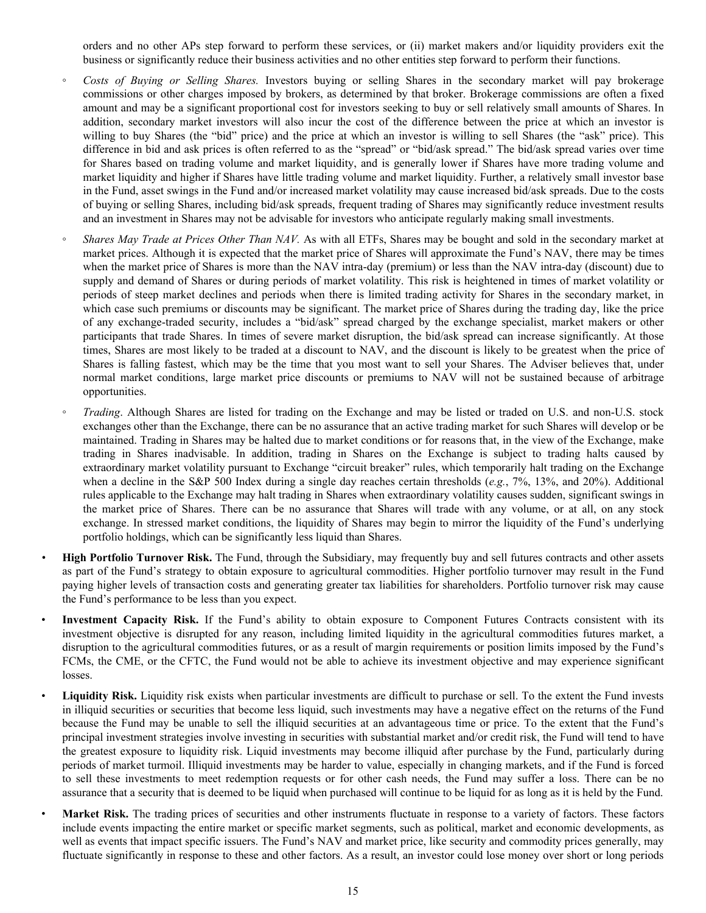orders and no other APs step forward to perform these services, or (ii) market makers and/or liquidity providers exit the business or significantly reduce their business activities and no other entities step forward to perform their functions.

- *◦ Costs of Buying or Selling Shares.* Investors buying or selling Shares in the secondary market will pay brokerage commissions or other charges imposed by brokers, as determined by that broker. Brokerage commissions are often a fixed amount and may be a significant proportional cost for investors seeking to buy or sell relatively small amounts of Shares. In addition, secondary market investors will also incur the cost of the difference between the price at which an investor is willing to buy Shares (the "bid" price) and the price at which an investor is willing to sell Shares (the "ask" price). This difference in bid and ask prices is often referred to as the "spread" or "bid/ask spread." The bid/ask spread varies over time for Shares based on trading volume and market liquidity, and is generally lower if Shares have more trading volume and market liquidity and higher if Shares have little trading volume and market liquidity. Further, a relatively small investor base in the Fund, asset swings in the Fund and/or increased market volatility may cause increased bid/ask spreads. Due to the costs of buying or selling Shares, including bid/ask spreads, frequent trading of Shares may significantly reduce investment results and an investment in Shares may not be advisable for investors who anticipate regularly making small investments.
- *Shares May Trade at Prices Other Than NAV.* As with all ETFs, Shares may be bought and sold in the secondary market at market prices. Although it is expected that the market price of Shares will approximate the Fund's NAV, there may be times when the market price of Shares is more than the NAV intra-day (premium) or less than the NAV intra-day (discount) due to supply and demand of Shares or during periods of market volatility. This risk is heightened in times of market volatility or periods of steep market declines and periods when there is limited trading activity for Shares in the secondary market, in which case such premiums or discounts may be significant. The market price of Shares during the trading day, like the price of any exchange-traded security, includes a "bid/ask" spread charged by the exchange specialist, market makers or other participants that trade Shares. In times of severe market disruption, the bid/ask spread can increase significantly. At those times, Shares are most likely to be traded at a discount to NAV, and the discount is likely to be greatest when the price of Shares is falling fastest, which may be the time that you most want to sell your Shares. The Adviser believes that, under normal market conditions, large market price discounts or premiums to NAV will not be sustained because of arbitrage opportunities.
- *Trading*. Although Shares are listed for trading on the Exchange and may be listed or traded on U.S. and non-U.S. stock exchanges other than the Exchange, there can be no assurance that an active trading market for such Shares will develop or be maintained. Trading in Shares may be halted due to market conditions or for reasons that, in the view of the Exchange, make trading in Shares inadvisable. In addition, trading in Shares on the Exchange is subject to trading halts caused by extraordinary market volatility pursuant to Exchange "circuit breaker" rules, which temporarily halt trading on the Exchange when a decline in the S&P 500 Index during a single day reaches certain thresholds (*e.g.*, 7%, 13%, and 20%). Additional rules applicable to the Exchange may halt trading in Shares when extraordinary volatility causes sudden, significant swings in the market price of Shares. There can be no assurance that Shares will trade with any volume, or at all, on any stock exchange. In stressed market conditions, the liquidity of Shares may begin to mirror the liquidity of the Fund's underlying portfolio holdings, which can be significantly less liquid than Shares.
- *•* **High Portfolio Turnover Risk.** The Fund, through the Subsidiary, may frequently buy and sell futures contracts and other assets as part of the Fund's strategy to obtain exposure to agricultural commodities. Higher portfolio turnover may result in the Fund paying higher levels of transaction costs and generating greater tax liabilities for shareholders. Portfolio turnover risk may cause the Fund's performance to be less than you expect.
	- **Investment Capacity Risk.** If the Fund's ability to obtain exposure to Component Futures Contracts consistent with its investment objective is disrupted for any reason, including limited liquidity in the agricultural commodities futures market, a disruption to the agricultural commodities futures, or as a result of margin requirements or position limits imposed by the Fund's FCMs, the CME, or the CFTC, the Fund would not be able to achieve its investment objective and may experience significant losses.
	- **Liquidity Risk.** Liquidity risk exists when particular investments are difficult to purchase or sell. To the extent the Fund invests in illiquid securities or securities that become less liquid, such investments may have a negative effect on the returns of the Fund because the Fund may be unable to sell the illiquid securities at an advantageous time or price. To the extent that the Fund's principal investment strategies involve investing in securities with substantial market and/or credit risk, the Fund will tend to have the greatest exposure to liquidity risk. Liquid investments may become illiquid after purchase by the Fund, particularly during periods of market turmoil. Illiquid investments may be harder to value, especially in changing markets, and if the Fund is forced to sell these investments to meet redemption requests or for other cash needs, the Fund may suffer a loss. There can be no assurance that a security that is deemed to be liquid when purchased will continue to be liquid for as long as it is held by the Fund.
- **Market Risk.** The trading prices of securities and other instruments fluctuate in response to a variety of factors. These factors include events impacting the entire market or specific market segments, such as political, market and economic developments, as well as events that impact specific issuers. The Fund's NAV and market price, like security and commodity prices generally, may fluctuate significantly in response to these and other factors. As a result, an investor could lose money over short or long periods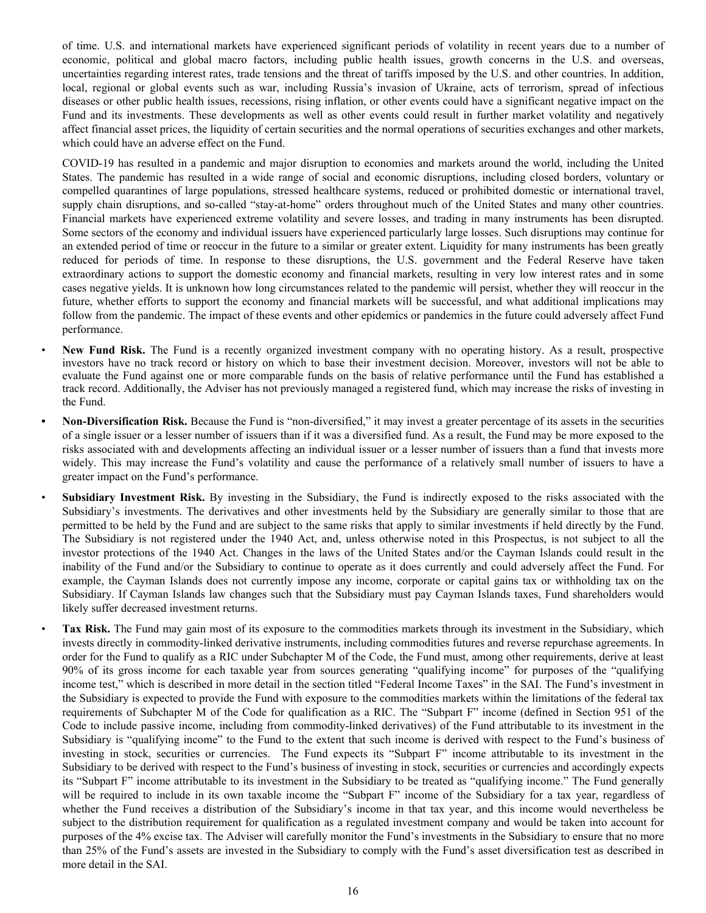of time. U.S. and international markets have experienced significant periods of volatility in recent years due to a number of economic, political and global macro factors, including public health issues, growth concerns in the U.S. and overseas, uncertainties regarding interest rates, trade tensions and the threat of tariffs imposed by the U.S. and other countries. In addition, local, regional or global events such as war, including Russia's invasion of Ukraine, acts of terrorism, spread of infectious diseases or other public health issues, recessions, rising inflation, or other events could have a significant negative impact on the Fund and its investments. These developments as well as other events could result in further market volatility and negatively affect financial asset prices, the liquidity of certain securities and the normal operations of securities exchanges and other markets, which could have an adverse effect on the Fund.

COVID-19 has resulted in a pandemic and major disruption to economies and markets around the world, including the United States. The pandemic has resulted in a wide range of social and economic disruptions, including closed borders, voluntary or compelled quarantines of large populations, stressed healthcare systems, reduced or prohibited domestic or international travel, supply chain disruptions, and so-called "stay-at-home" orders throughout much of the United States and many other countries. Financial markets have experienced extreme volatility and severe losses, and trading in many instruments has been disrupted. Some sectors of the economy and individual issuers have experienced particularly large losses. Such disruptions may continue for an extended period of time or reoccur in the future to a similar or greater extent. Liquidity for many instruments has been greatly reduced for periods of time. In response to these disruptions, the U.S. government and the Federal Reserve have taken extraordinary actions to support the domestic economy and financial markets, resulting in very low interest rates and in some cases negative yields. It is unknown how long circumstances related to the pandemic will persist, whether they will reoccur in the future, whether efforts to support the economy and financial markets will be successful, and what additional implications may follow from the pandemic. The impact of these events and other epidemics or pandemics in the future could adversely affect Fund performance.

- **New Fund Risk.** The Fund is a recently organized investment company with no operating history. As a result, prospective investors have no track record or history on which to base their investment decision. Moreover, investors will not be able to evaluate the Fund against one or more comparable funds on the basis of relative performance until the Fund has established a track record. Additionally, the Adviser has not previously managed a registered fund, which may increase the risks of investing in the Fund.
- **• Non-Diversification Risk.** Because the Fund is "non-diversified," it may invest a greater percentage of its assets in the securities of a single issuer or a lesser number of issuers than if it was a diversified fund. As a result, the Fund may be more exposed to the risks associated with and developments affecting an individual issuer or a lesser number of issuers than a fund that invests more widely. This may increase the Fund's volatility and cause the performance of a relatively small number of issuers to have a greater impact on the Fund's performance.
- **Subsidiary Investment Risk.** By investing in the Subsidiary, the Fund is indirectly exposed to the risks associated with the Subsidiary's investments. The derivatives and other investments held by the Subsidiary are generally similar to those that are permitted to be held by the Fund and are subject to the same risks that apply to similar investments if held directly by the Fund. The Subsidiary is not registered under the 1940 Act, and, unless otherwise noted in this Prospectus, is not subject to all the investor protections of the 1940 Act. Changes in the laws of the United States and/or the Cayman Islands could result in the inability of the Fund and/or the Subsidiary to continue to operate as it does currently and could adversely affect the Fund. For example, the Cayman Islands does not currently impose any income, corporate or capital gains tax or withholding tax on the Subsidiary. If Cayman Islands law changes such that the Subsidiary must pay Cayman Islands taxes, Fund shareholders would likely suffer decreased investment returns.

• **Tax Risk.** The Fund may gain most of its exposure to the commodities markets through its investment in the Subsidiary, which invests directly in commodity-linked derivative instruments, including commodities futures and reverse repurchase agreements. In order for the Fund to qualify as a RIC under Subchapter M of the Code, the Fund must, among other requirements, derive at least 90% of its gross income for each taxable year from sources generating "qualifying income" for purposes of the "qualifying income test," which is described in more detail in the section titled "Federal Income Taxes" in the SAI. The Fund's investment in the Subsidiary is expected to provide the Fund with exposure to the commodities markets within the limitations of the federal tax requirements of Subchapter M of the Code for qualification as a RIC. The "Subpart F" income (defined in Section 951 of the Code to include passive income, including from commodity-linked derivatives) of the Fund attributable to its investment in the Subsidiary is "qualifying income" to the Fund to the extent that such income is derived with respect to the Fund's business of investing in stock, securities or currencies. The Fund expects its "Subpart F" income attributable to its investment in the Subsidiary to be derived with respect to the Fund's business of investing in stock, securities or currencies and accordingly expects its "Subpart F" income attributable to its investment in the Subsidiary to be treated as "qualifying income." The Fund generally will be required to include in its own taxable income the "Subpart F" income of the Subsidiary for a tax year, regardless of whether the Fund receives a distribution of the Subsidiary's income in that tax year, and this income would nevertheless be subject to the distribution requirement for qualification as a regulated investment company and would be taken into account for purposes of the 4% excise tax. The Adviser will carefully monitor the Fund's investments in the Subsidiary to ensure that no more than 25% of the Fund's assets are invested in the Subsidiary to comply with the Fund's asset diversification test as described in more detail in the SAI.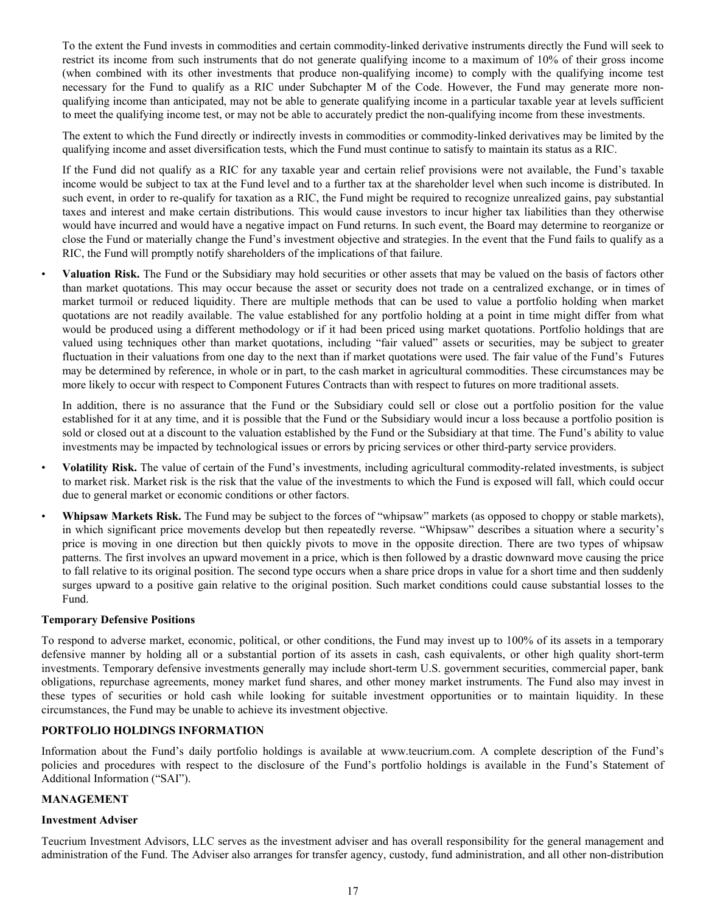To the extent the Fund invests in commodities and certain commodity-linked derivative instruments directly the Fund will seek to restrict its income from such instruments that do not generate qualifying income to a maximum of 10% of their gross income (when combined with its other investments that produce non-qualifying income) to comply with the qualifying income test necessary for the Fund to qualify as a RIC under Subchapter M of the Code. However, the Fund may generate more nonqualifying income than anticipated, may not be able to generate qualifying income in a particular taxable year at levels sufficient to meet the qualifying income test, or may not be able to accurately predict the non-qualifying income from these investments.

The extent to which the Fund directly or indirectly invests in commodities or commodity-linked derivatives may be limited by the qualifying income and asset diversification tests, which the Fund must continue to satisfy to maintain its status as a RIC.

If the Fund did not qualify as a RIC for any taxable year and certain relief provisions were not available, the Fund's taxable income would be subject to tax at the Fund level and to a further tax at the shareholder level when such income is distributed. In such event, in order to re-qualify for taxation as a RIC, the Fund might be required to recognize unrealized gains, pay substantial taxes and interest and make certain distributions. This would cause investors to incur higher tax liabilities than they otherwise would have incurred and would have a negative impact on Fund returns. In such event, the Board may determine to reorganize or close the Fund or materially change the Fund's investment objective and strategies. In the event that the Fund fails to qualify as a RIC, the Fund will promptly notify shareholders of the implications of that failure.

• **Valuation Risk.** The Fund or the Subsidiary may hold securities or other assets that may be valued on the basis of factors other than market quotations. This may occur because the asset or security does not trade on a centralized exchange, or in times of market turmoil or reduced liquidity. There are multiple methods that can be used to value a portfolio holding when market quotations are not readily available. The value established for any portfolio holding at a point in time might differ from what would be produced using a different methodology or if it had been priced using market quotations. Portfolio holdings that are valued using techniques other than market quotations, including "fair valued" assets or securities, may be subject to greater fluctuation in their valuations from one day to the next than if market quotations were used. The fair value of the Fund's Futures may be determined by reference, in whole or in part, to the cash market in agricultural commodities. These circumstances may be more likely to occur with respect to Component Futures Contracts than with respect to futures on more traditional assets.

In addition, there is no assurance that the Fund or the Subsidiary could sell or close out a portfolio position for the value established for it at any time, and it is possible that the Fund or the Subsidiary would incur a loss because a portfolio position is sold or closed out at a discount to the valuation established by the Fund or the Subsidiary at that time. The Fund's ability to value investments may be impacted by technological issues or errors by pricing services or other third-party service providers.

- **Volatility Risk.** The value of certain of the Fund's investments, including agricultural commodity-related investments, is subject to market risk. Market risk is the risk that the value of the investments to which the Fund is exposed will fall, which could occur due to general market or economic conditions or other factors.
- **Whipsaw Markets Risk.** The Fund may be subject to the forces of "whipsaw" markets (as opposed to choppy or stable markets), in which significant price movements develop but then repeatedly reverse. "Whipsaw" describes a situation where a security's price is moving in one direction but then quickly pivots to move in the opposite direction. There are two types of whipsaw patterns. The first involves an upward movement in a price, which is then followed by a drastic downward move causing the price to fall relative to its original position. The second type occurs when a share price drops in value for a short time and then suddenly surges upward to a positive gain relative to the original position. Such market conditions could cause substantial losses to the Fund.

#### **Temporary Defensive Positions**

To respond to adverse market, economic, political, or other conditions, the Fund may invest up to 100% of its assets in a temporary defensive manner by holding all or a substantial portion of its assets in cash, cash equivalents, or other high quality short-term investments. Temporary defensive investments generally may include short-term U.S. government securities, commercial paper, bank obligations, repurchase agreements, money market fund shares, and other money market instruments. The Fund also may invest in these types of securities or hold cash while looking for suitable investment opportunities or to maintain liquidity. In these circumstances, the Fund may be unable to achieve its investment objective.

#### **PORTFOLIO HOLDINGS INFORMATION**

Information about the Fund's daily portfolio holdings is available at www.teucrium.com. A complete description of the Fund's policies and procedures with respect to the disclosure of the Fund's portfolio holdings is available in the Fund's Statement of Additional Information ("SAI").

#### **MANAGEMENT**

#### **Investment Adviser**

Teucrium Investment Advisors, LLC serves as the investment adviser and has overall responsibility for the general management and administration of the Fund. The Adviser also arranges for transfer agency, custody, fund administration, and all other non-distribution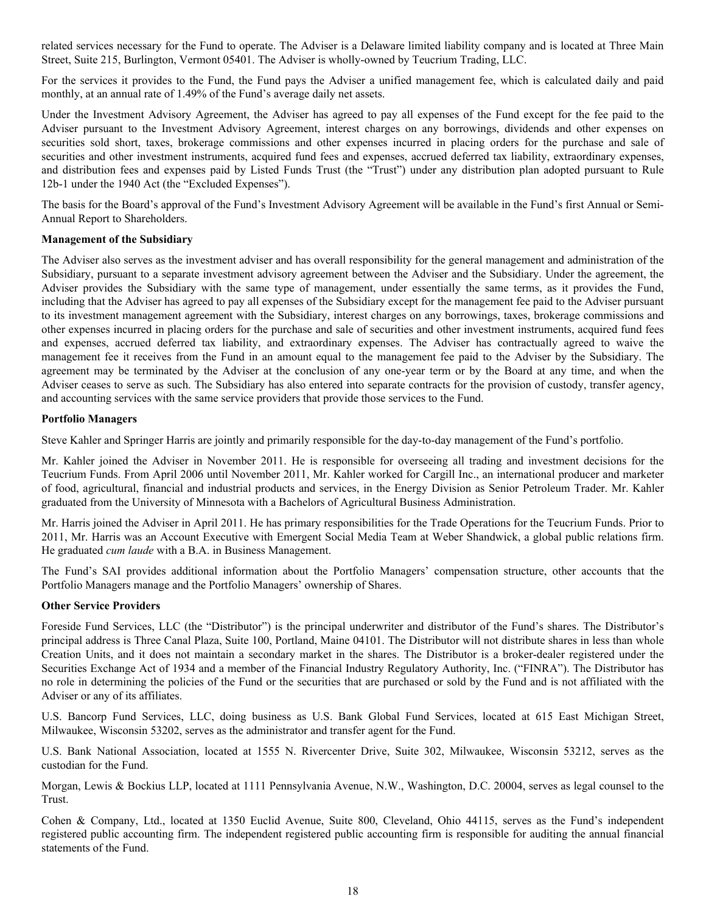related services necessary for the Fund to operate. The Adviser is a Delaware limited liability company and is located at Three Main Street, Suite 215, Burlington, Vermont 05401. The Adviser is wholly-owned by Teucrium Trading, LLC.

For the services it provides to the Fund, the Fund pays the Adviser a unified management fee, which is calculated daily and paid monthly, at an annual rate of 1.49% of the Fund's average daily net assets.

Under the Investment Advisory Agreement, the Adviser has agreed to pay all expenses of the Fund except for the fee paid to the Adviser pursuant to the Investment Advisory Agreement, interest charges on any borrowings, dividends and other expenses on securities sold short, taxes, brokerage commissions and other expenses incurred in placing orders for the purchase and sale of securities and other investment instruments, acquired fund fees and expenses, accrued deferred tax liability, extraordinary expenses, and distribution fees and expenses paid by Listed Funds Trust (the "Trust") under any distribution plan adopted pursuant to Rule 12b-1 under the 1940 Act (the "Excluded Expenses").

The basis for the Board's approval of the Fund's Investment Advisory Agreement will be available in the Fund's first Annual or Semi-Annual Report to Shareholders.

#### **Management of the Subsidiary**

The Adviser also serves as the investment adviser and has overall responsibility for the general management and administration of the Subsidiary, pursuant to a separate investment advisory agreement between the Adviser and the Subsidiary. Under the agreement, the Adviser provides the Subsidiary with the same type of management, under essentially the same terms, as it provides the Fund, including that the Adviser has agreed to pay all expenses of the Subsidiary except for the management fee paid to the Adviser pursuant to its investment management agreement with the Subsidiary, interest charges on any borrowings, taxes, brokerage commissions and other expenses incurred in placing orders for the purchase and sale of securities and other investment instruments, acquired fund fees and expenses, accrued deferred tax liability, and extraordinary expenses. The Adviser has contractually agreed to waive the management fee it receives from the Fund in an amount equal to the management fee paid to the Adviser by the Subsidiary. The agreement may be terminated by the Adviser at the conclusion of any one-year term or by the Board at any time, and when the Adviser ceases to serve as such. The Subsidiary has also entered into separate contracts for the provision of custody, transfer agency, and accounting services with the same service providers that provide those services to the Fund.

#### **Portfolio Managers**

Steve Kahler and Springer Harris are jointly and primarily responsible for the day-to-day management of the Fund's portfolio.

Mr. Kahler joined the Adviser in November 2011. He is responsible for overseeing all trading and investment decisions for the Teucrium Funds. From April 2006 until November 2011, Mr. Kahler worked for Cargill Inc., an international producer and marketer of food, agricultural, financial and industrial products and services, in the Energy Division as Senior Petroleum Trader. Mr. Kahler graduated from the University of Minnesota with a Bachelors of Agricultural Business Administration.

Mr. Harris joined the Adviser in April 2011. He has primary responsibilities for the Trade Operations for the Teucrium Funds. Prior to 2011, Mr. Harris was an Account Executive with Emergent Social Media Team at Weber Shandwick, a global public relations firm. He graduated *cum laude* with a B.A. in Business Management.

The Fund's SAI provides additional information about the Portfolio Managers' compensation structure, other accounts that the Portfolio Managers manage and the Portfolio Managers' ownership of Shares.

#### **Other Service Providers**

Foreside Fund Services, LLC (the "Distributor") is the principal underwriter and distributor of the Fund's shares. The Distributor's principal address is Three Canal Plaza, Suite 100, Portland, Maine 04101. The Distributor will not distribute shares in less than whole Creation Units, and it does not maintain a secondary market in the shares. The Distributor is a broker-dealer registered under the Securities Exchange Act of 1934 and a member of the Financial Industry Regulatory Authority, Inc. ("FINRA"). The Distributor has no role in determining the policies of the Fund or the securities that are purchased or sold by the Fund and is not affiliated with the Adviser or any of its affiliates.

U.S. Bancorp Fund Services, LLC, doing business as U.S. Bank Global Fund Services, located at 615 East Michigan Street, Milwaukee, Wisconsin 53202, serves as the administrator and transfer agent for the Fund.

U.S. Bank National Association, located at 1555 N. Rivercenter Drive, Suite 302, Milwaukee, Wisconsin 53212, serves as the custodian for the Fund.

Morgan, Lewis & Bockius LLP, located at 1111 Pennsylvania Avenue, N.W., Washington, D.C. 20004, serves as legal counsel to the Trust.

Cohen & Company, Ltd., located at 1350 Euclid Avenue, Suite 800, Cleveland, Ohio 44115, serves as the Fund's independent registered public accounting firm. The independent registered public accounting firm is responsible for auditing the annual financial statements of the Fund.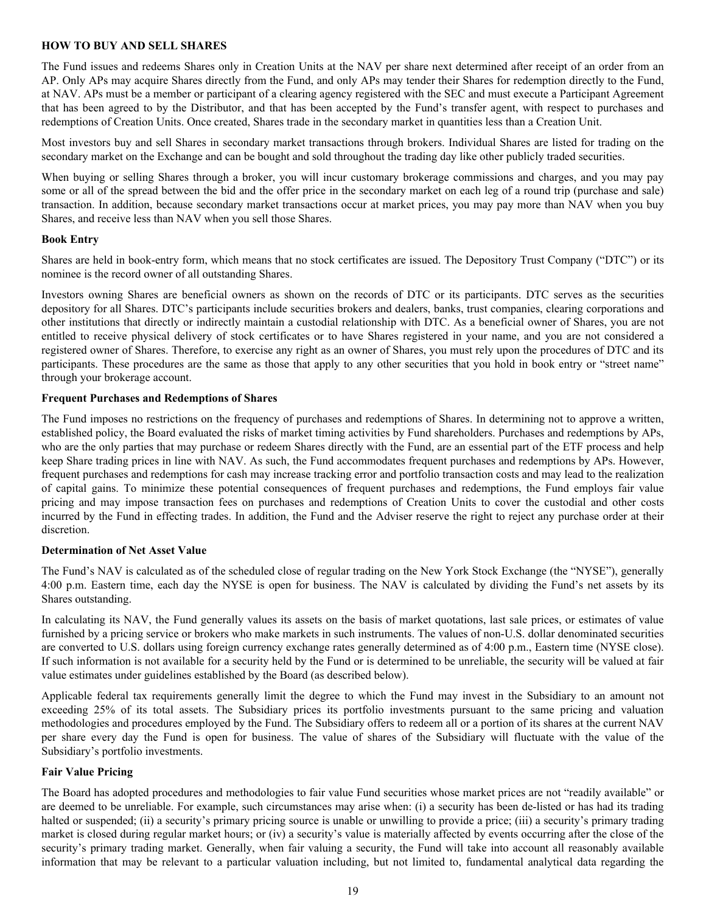#### **HOW TO BUY AND SELL SHARES**

The Fund issues and redeems Shares only in Creation Units at the NAV per share next determined after receipt of an order from an AP. Only APs may acquire Shares directly from the Fund, and only APs may tender their Shares for redemption directly to the Fund, at NAV. APs must be a member or participant of a clearing agency registered with the SEC and must execute a Participant Agreement that has been agreed to by the Distributor, and that has been accepted by the Fund's transfer agent, with respect to purchases and redemptions of Creation Units. Once created, Shares trade in the secondary market in quantities less than a Creation Unit.

Most investors buy and sell Shares in secondary market transactions through brokers. Individual Shares are listed for trading on the secondary market on the Exchange and can be bought and sold throughout the trading day like other publicly traded securities.

When buying or selling Shares through a broker, you will incur customary brokerage commissions and charges, and you may pay some or all of the spread between the bid and the offer price in the secondary market on each leg of a round trip (purchase and sale) transaction. In addition, because secondary market transactions occur at market prices, you may pay more than NAV when you buy Shares, and receive less than NAV when you sell those Shares.

#### **Book Entry**

Shares are held in book-entry form, which means that no stock certificates are issued. The Depository Trust Company ("DTC") or its nominee is the record owner of all outstanding Shares.

Investors owning Shares are beneficial owners as shown on the records of DTC or its participants. DTC serves as the securities depository for all Shares. DTC's participants include securities brokers and dealers, banks, trust companies, clearing corporations and other institutions that directly or indirectly maintain a custodial relationship with DTC. As a beneficial owner of Shares, you are not entitled to receive physical delivery of stock certificates or to have Shares registered in your name, and you are not considered a registered owner of Shares. Therefore, to exercise any right as an owner of Shares, you must rely upon the procedures of DTC and its participants. These procedures are the same as those that apply to any other securities that you hold in book entry or "street name" through your brokerage account.

#### **Frequent Purchases and Redemptions of Shares**

The Fund imposes no restrictions on the frequency of purchases and redemptions of Shares. In determining not to approve a written, established policy, the Board evaluated the risks of market timing activities by Fund shareholders. Purchases and redemptions by APs, who are the only parties that may purchase or redeem Shares directly with the Fund, are an essential part of the ETF process and help keep Share trading prices in line with NAV. As such, the Fund accommodates frequent purchases and redemptions by APs. However, frequent purchases and redemptions for cash may increase tracking error and portfolio transaction costs and may lead to the realization of capital gains. To minimize these potential consequences of frequent purchases and redemptions, the Fund employs fair value pricing and may impose transaction fees on purchases and redemptions of Creation Units to cover the custodial and other costs incurred by the Fund in effecting trades. In addition, the Fund and the Adviser reserve the right to reject any purchase order at their discretion.

#### **Determination of Net Asset Value**

The Fund's NAV is calculated as of the scheduled close of regular trading on the New York Stock Exchange (the "NYSE"), generally 4:00 p.m. Eastern time, each day the NYSE is open for business. The NAV is calculated by dividing the Fund's net assets by its Shares outstanding.

In calculating its NAV, the Fund generally values its assets on the basis of market quotations, last sale prices, or estimates of value furnished by a pricing service or brokers who make markets in such instruments. The values of non-U.S. dollar denominated securities are converted to U.S. dollars using foreign currency exchange rates generally determined as of 4:00 p.m., Eastern time (NYSE close). If such information is not available for a security held by the Fund or is determined to be unreliable, the security will be valued at fair value estimates under guidelines established by the Board (as described below).

Applicable federal tax requirements generally limit the degree to which the Fund may invest in the Subsidiary to an amount not exceeding 25% of its total assets. The Subsidiary prices its portfolio investments pursuant to the same pricing and valuation methodologies and procedures employed by the Fund. The Subsidiary offers to redeem all or a portion of its shares at the current NAV per share every day the Fund is open for business. The value of shares of the Subsidiary will fluctuate with the value of the Subsidiary's portfolio investments.

#### **Fair Value Pricing**

The Board has adopted procedures and methodologies to fair value Fund securities whose market prices are not "readily available" or are deemed to be unreliable. For example, such circumstances may arise when: (i) a security has been de-listed or has had its trading halted or suspended; (ii) a security's primary pricing source is unable or unwilling to provide a price; (iii) a security's primary trading market is closed during regular market hours; or (iv) a security's value is materially affected by events occurring after the close of the security's primary trading market. Generally, when fair valuing a security, the Fund will take into account all reasonably available information that may be relevant to a particular valuation including, but not limited to, fundamental analytical data regarding the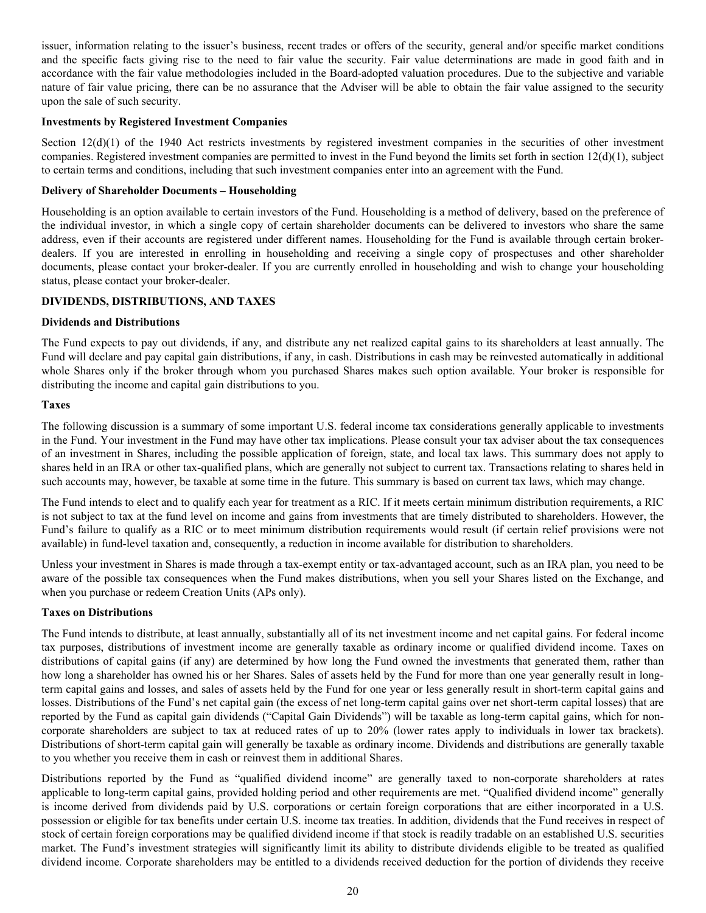issuer, information relating to the issuer's business, recent trades or offers of the security, general and/or specific market conditions and the specific facts giving rise to the need to fair value the security. Fair value determinations are made in good faith and in accordance with the fair value methodologies included in the Board-adopted valuation procedures. Due to the subjective and variable nature of fair value pricing, there can be no assurance that the Adviser will be able to obtain the fair value assigned to the security upon the sale of such security.

#### **Investments by Registered Investment Companies**

Section  $12(d)(1)$  of the 1940 Act restricts investments by registered investment companies in the securities of other investment companies. Registered investment companies are permitted to invest in the Fund beyond the limits set forth in section  $12(d)(1)$ , subject to certain terms and conditions, including that such investment companies enter into an agreement with the Fund.

#### **Delivery of Shareholder Documents – Householding**

Householding is an option available to certain investors of the Fund. Householding is a method of delivery, based on the preference of the individual investor, in which a single copy of certain shareholder documents can be delivered to investors who share the same address, even if their accounts are registered under different names. Householding for the Fund is available through certain brokerdealers. If you are interested in enrolling in householding and receiving a single copy of prospectuses and other shareholder documents, please contact your broker-dealer. If you are currently enrolled in householding and wish to change your householding status, please contact your broker-dealer.

#### **DIVIDENDS, DISTRIBUTIONS, AND TAXES**

#### **Dividends and Distributions**

The Fund expects to pay out dividends, if any, and distribute any net realized capital gains to its shareholders at least annually. The Fund will declare and pay capital gain distributions, if any, in cash. Distributions in cash may be reinvested automatically in additional whole Shares only if the broker through whom you purchased Shares makes such option available. Your broker is responsible for distributing the income and capital gain distributions to you.

#### **Taxes**

The following discussion is a summary of some important U.S. federal income tax considerations generally applicable to investments in the Fund. Your investment in the Fund may have other tax implications. Please consult your tax adviser about the tax consequences of an investment in Shares, including the possible application of foreign, state, and local tax laws. This summary does not apply to shares held in an IRA or other tax-qualified plans, which are generally not subject to current tax. Transactions relating to shares held in such accounts may, however, be taxable at some time in the future. This summary is based on current tax laws, which may change.

The Fund intends to elect and to qualify each year for treatment as a RIC. If it meets certain minimum distribution requirements, a RIC is not subject to tax at the fund level on income and gains from investments that are timely distributed to shareholders. However, the Fund's failure to qualify as a RIC or to meet minimum distribution requirements would result (if certain relief provisions were not available) in fund-level taxation and, consequently, a reduction in income available for distribution to shareholders.

Unless your investment in Shares is made through a tax-exempt entity or tax-advantaged account, such as an IRA plan, you need to be aware of the possible tax consequences when the Fund makes distributions, when you sell your Shares listed on the Exchange, and when you purchase or redeem Creation Units (APs only).

#### **Taxes on Distributions**

The Fund intends to distribute, at least annually, substantially all of its net investment income and net capital gains. For federal income tax purposes, distributions of investment income are generally taxable as ordinary income or qualified dividend income. Taxes on distributions of capital gains (if any) are determined by how long the Fund owned the investments that generated them, rather than how long a shareholder has owned his or her Shares. Sales of assets held by the Fund for more than one year generally result in longterm capital gains and losses, and sales of assets held by the Fund for one year or less generally result in short-term capital gains and losses. Distributions of the Fund's net capital gain (the excess of net long-term capital gains over net short-term capital losses) that are reported by the Fund as capital gain dividends ("Capital Gain Dividends") will be taxable as long-term capital gains, which for noncorporate shareholders are subject to tax at reduced rates of up to 20% (lower rates apply to individuals in lower tax brackets). Distributions of short-term capital gain will generally be taxable as ordinary income. Dividends and distributions are generally taxable to you whether you receive them in cash or reinvest them in additional Shares.

Distributions reported by the Fund as "qualified dividend income" are generally taxed to non-corporate shareholders at rates applicable to long-term capital gains, provided holding period and other requirements are met. "Qualified dividend income" generally is income derived from dividends paid by U.S. corporations or certain foreign corporations that are either incorporated in a U.S. possession or eligible for tax benefits under certain U.S. income tax treaties. In addition, dividends that the Fund receives in respect of stock of certain foreign corporations may be qualified dividend income if that stock is readily tradable on an established U.S. securities market. The Fund's investment strategies will significantly limit its ability to distribute dividends eligible to be treated as qualified dividend income. Corporate shareholders may be entitled to a dividends received deduction for the portion of dividends they receive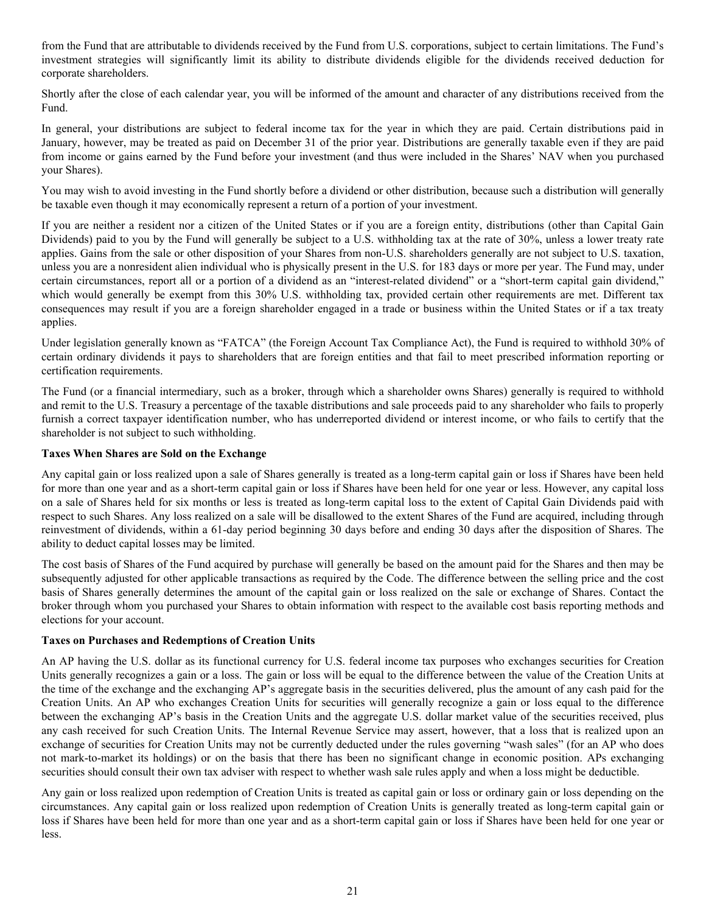from the Fund that are attributable to dividends received by the Fund from U.S. corporations, subject to certain limitations. The Fund's investment strategies will significantly limit its ability to distribute dividends eligible for the dividends received deduction for corporate shareholders.

Shortly after the close of each calendar year, you will be informed of the amount and character of any distributions received from the Fund.

In general, your distributions are subject to federal income tax for the year in which they are paid. Certain distributions paid in January, however, may be treated as paid on December 31 of the prior year. Distributions are generally taxable even if they are paid from income or gains earned by the Fund before your investment (and thus were included in the Shares' NAV when you purchased your Shares).

You may wish to avoid investing in the Fund shortly before a dividend or other distribution, because such a distribution will generally be taxable even though it may economically represent a return of a portion of your investment.

If you are neither a resident nor a citizen of the United States or if you are a foreign entity, distributions (other than Capital Gain Dividends) paid to you by the Fund will generally be subject to a U.S. withholding tax at the rate of 30%, unless a lower treaty rate applies. Gains from the sale or other disposition of your Shares from non-U.S. shareholders generally are not subject to U.S. taxation, unless you are a nonresident alien individual who is physically present in the U.S. for 183 days or more per year. The Fund may, under certain circumstances, report all or a portion of a dividend as an "interest-related dividend" or a "short-term capital gain dividend," which would generally be exempt from this 30% U.S. withholding tax, provided certain other requirements are met. Different tax consequences may result if you are a foreign shareholder engaged in a trade or business within the United States or if a tax treaty applies.

Under legislation generally known as "FATCA" (the Foreign Account Tax Compliance Act), the Fund is required to withhold 30% of certain ordinary dividends it pays to shareholders that are foreign entities and that fail to meet prescribed information reporting or certification requirements.

The Fund (or a financial intermediary, such as a broker, through which a shareholder owns Shares) generally is required to withhold and remit to the U.S. Treasury a percentage of the taxable distributions and sale proceeds paid to any shareholder who fails to properly furnish a correct taxpayer identification number, who has underreported dividend or interest income, or who fails to certify that the shareholder is not subject to such withholding.

#### **Taxes When Shares are Sold on the Exchange**

Any capital gain or loss realized upon a sale of Shares generally is treated as a long-term capital gain or loss if Shares have been held for more than one year and as a short-term capital gain or loss if Shares have been held for one year or less. However, any capital loss on a sale of Shares held for six months or less is treated as long-term capital loss to the extent of Capital Gain Dividends paid with respect to such Shares. Any loss realized on a sale will be disallowed to the extent Shares of the Fund are acquired, including through reinvestment of dividends, within a 61-day period beginning 30 days before and ending 30 days after the disposition of Shares. The ability to deduct capital losses may be limited.

The cost basis of Shares of the Fund acquired by purchase will generally be based on the amount paid for the Shares and then may be subsequently adjusted for other applicable transactions as required by the Code. The difference between the selling price and the cost basis of Shares generally determines the amount of the capital gain or loss realized on the sale or exchange of Shares. Contact the broker through whom you purchased your Shares to obtain information with respect to the available cost basis reporting methods and elections for your account.

#### **Taxes on Purchases and Redemptions of Creation Units**

An AP having the U.S. dollar as its functional currency for U.S. federal income tax purposes who exchanges securities for Creation Units generally recognizes a gain or a loss. The gain or loss will be equal to the difference between the value of the Creation Units at the time of the exchange and the exchanging AP's aggregate basis in the securities delivered, plus the amount of any cash paid for the Creation Units. An AP who exchanges Creation Units for securities will generally recognize a gain or loss equal to the difference between the exchanging AP's basis in the Creation Units and the aggregate U.S. dollar market value of the securities received, plus any cash received for such Creation Units. The Internal Revenue Service may assert, however, that a loss that is realized upon an exchange of securities for Creation Units may not be currently deducted under the rules governing "wash sales" (for an AP who does not mark-to-market its holdings) or on the basis that there has been no significant change in economic position. APs exchanging securities should consult their own tax adviser with respect to whether wash sale rules apply and when a loss might be deductible.

Any gain or loss realized upon redemption of Creation Units is treated as capital gain or loss or ordinary gain or loss depending on the circumstances. Any capital gain or loss realized upon redemption of Creation Units is generally treated as long-term capital gain or loss if Shares have been held for more than one year and as a short-term capital gain or loss if Shares have been held for one year or less.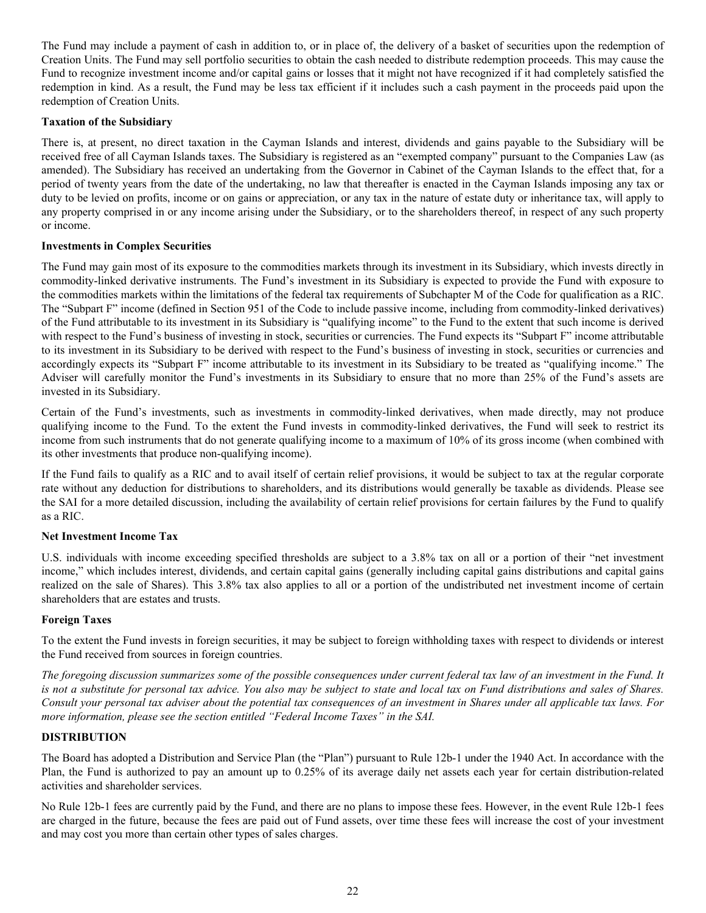The Fund may include a payment of cash in addition to, or in place of, the delivery of a basket of securities upon the redemption of Creation Units. The Fund may sell portfolio securities to obtain the cash needed to distribute redemption proceeds. This may cause the Fund to recognize investment income and/or capital gains or losses that it might not have recognized if it had completely satisfied the redemption in kind. As a result, the Fund may be less tax efficient if it includes such a cash payment in the proceeds paid upon the redemption of Creation Units.

#### **Taxation of the Subsidiary**

There is, at present, no direct taxation in the Cayman Islands and interest, dividends and gains payable to the Subsidiary will be received free of all Cayman Islands taxes. The Subsidiary is registered as an "exempted company" pursuant to the Companies Law (as amended). The Subsidiary has received an undertaking from the Governor in Cabinet of the Cayman Islands to the effect that, for a period of twenty years from the date of the undertaking, no law that thereafter is enacted in the Cayman Islands imposing any tax or duty to be levied on profits, income or on gains or appreciation, or any tax in the nature of estate duty or inheritance tax, will apply to any property comprised in or any income arising under the Subsidiary, or to the shareholders thereof, in respect of any such property or income.

#### **Investments in Complex Securities**

The Fund may gain most of its exposure to the commodities markets through its investment in its Subsidiary, which invests directly in commodity-linked derivative instruments. The Fund's investment in its Subsidiary is expected to provide the Fund with exposure to the commodities markets within the limitations of the federal tax requirements of Subchapter M of the Code for qualification as a RIC. The "Subpart F" income (defined in Section 951 of the Code to include passive income, including from commodity-linked derivatives) of the Fund attributable to its investment in its Subsidiary is "qualifying income" to the Fund to the extent that such income is derived with respect to the Fund's business of investing in stock, securities or currencies. The Fund expects its "Subpart F" income attributable to its investment in its Subsidiary to be derived with respect to the Fund's business of investing in stock, securities or currencies and accordingly expects its "Subpart F" income attributable to its investment in its Subsidiary to be treated as "qualifying income." The Adviser will carefully monitor the Fund's investments in its Subsidiary to ensure that no more than 25% of the Fund's assets are invested in its Subsidiary.

Certain of the Fund's investments, such as investments in commodity-linked derivatives, when made directly, may not produce qualifying income to the Fund. To the extent the Fund invests in commodity-linked derivatives, the Fund will seek to restrict its income from such instruments that do not generate qualifying income to a maximum of 10% of its gross income (when combined with its other investments that produce non-qualifying income).

If the Fund fails to qualify as a RIC and to avail itself of certain relief provisions, it would be subject to tax at the regular corporate rate without any deduction for distributions to shareholders, and its distributions would generally be taxable as dividends. Please see the SAI for a more detailed discussion, including the availability of certain relief provisions for certain failures by the Fund to qualify as a RIC.

#### **Net Investment Income Tax**

U.S. individuals with income exceeding specified thresholds are subject to a 3.8% tax on all or a portion of their "net investment income," which includes interest, dividends, and certain capital gains (generally including capital gains distributions and capital gains realized on the sale of Shares). This 3.8% tax also applies to all or a portion of the undistributed net investment income of certain shareholders that are estates and trusts.

#### **Foreign Taxes**

To the extent the Fund invests in foreign securities, it may be subject to foreign withholding taxes with respect to dividends or interest the Fund received from sources in foreign countries.

*The foregoing discussion summarizes some of the possible consequences under current federal tax law of an investment in the Fund. It is not a substitute for personal tax advice. You also may be subject to state and local tax on Fund distributions and sales of Shares. Consult your personal tax adviser about the potential tax consequences of an investment in Shares under all applicable tax laws. For more information, please see the section entitled "Federal Income Taxes" in the SAI.*

#### **DISTRIBUTION**

The Board has adopted a Distribution and Service Plan (the "Plan") pursuant to Rule 12b-1 under the 1940 Act. In accordance with the Plan, the Fund is authorized to pay an amount up to 0.25% of its average daily net assets each year for certain distribution-related activities and shareholder services.

No Rule 12b-1 fees are currently paid by the Fund, and there are no plans to impose these fees. However, in the event Rule 12b-1 fees are charged in the future, because the fees are paid out of Fund assets, over time these fees will increase the cost of your investment and may cost you more than certain other types of sales charges.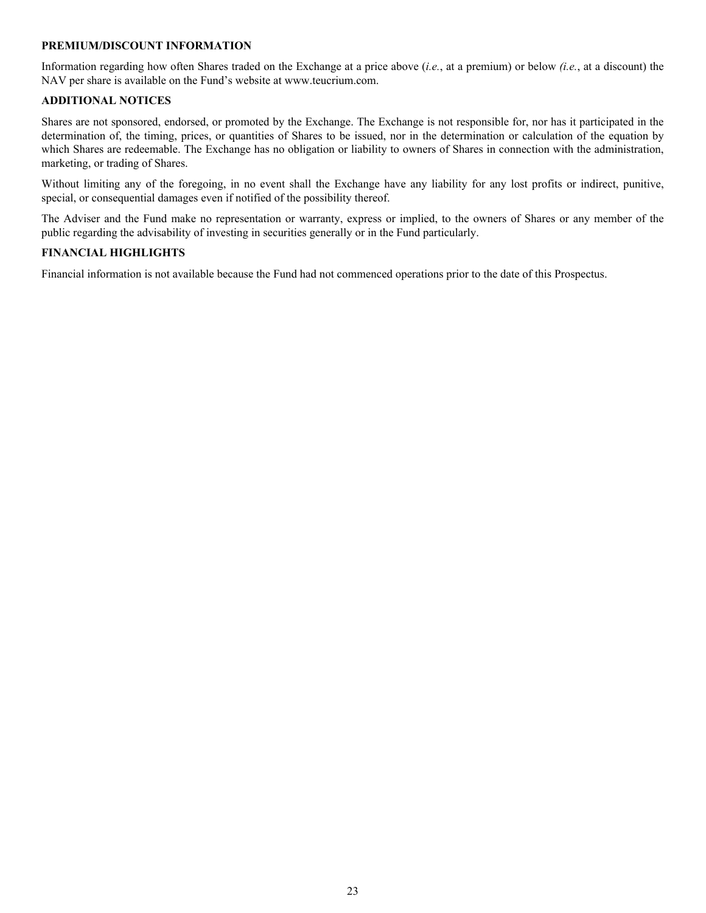#### **PREMIUM/DISCOUNT INFORMATION**

Information regarding how often Shares traded on the Exchange at a price above (*i.e.*, at a premium) or below *(i.e.*, at a discount) the NAV per share is available on the Fund's website at www.teucrium.com.

#### **ADDITIONAL NOTICES**

Shares are not sponsored, endorsed, or promoted by the Exchange. The Exchange is not responsible for, nor has it participated in the determination of, the timing, prices, or quantities of Shares to be issued, nor in the determination or calculation of the equation by which Shares are redeemable. The Exchange has no obligation or liability to owners of Shares in connection with the administration, marketing, or trading of Shares.

Without limiting any of the foregoing, in no event shall the Exchange have any liability for any lost profits or indirect, punitive, special, or consequential damages even if notified of the possibility thereof.

The Adviser and the Fund make no representation or warranty, express or implied, to the owners of Shares or any member of the public regarding the advisability of investing in securities generally or in the Fund particularly.

#### **FINANCIAL HIGHLIGHTS**

Financial information is not available because the Fund had not commenced operations prior to the date of this Prospectus.